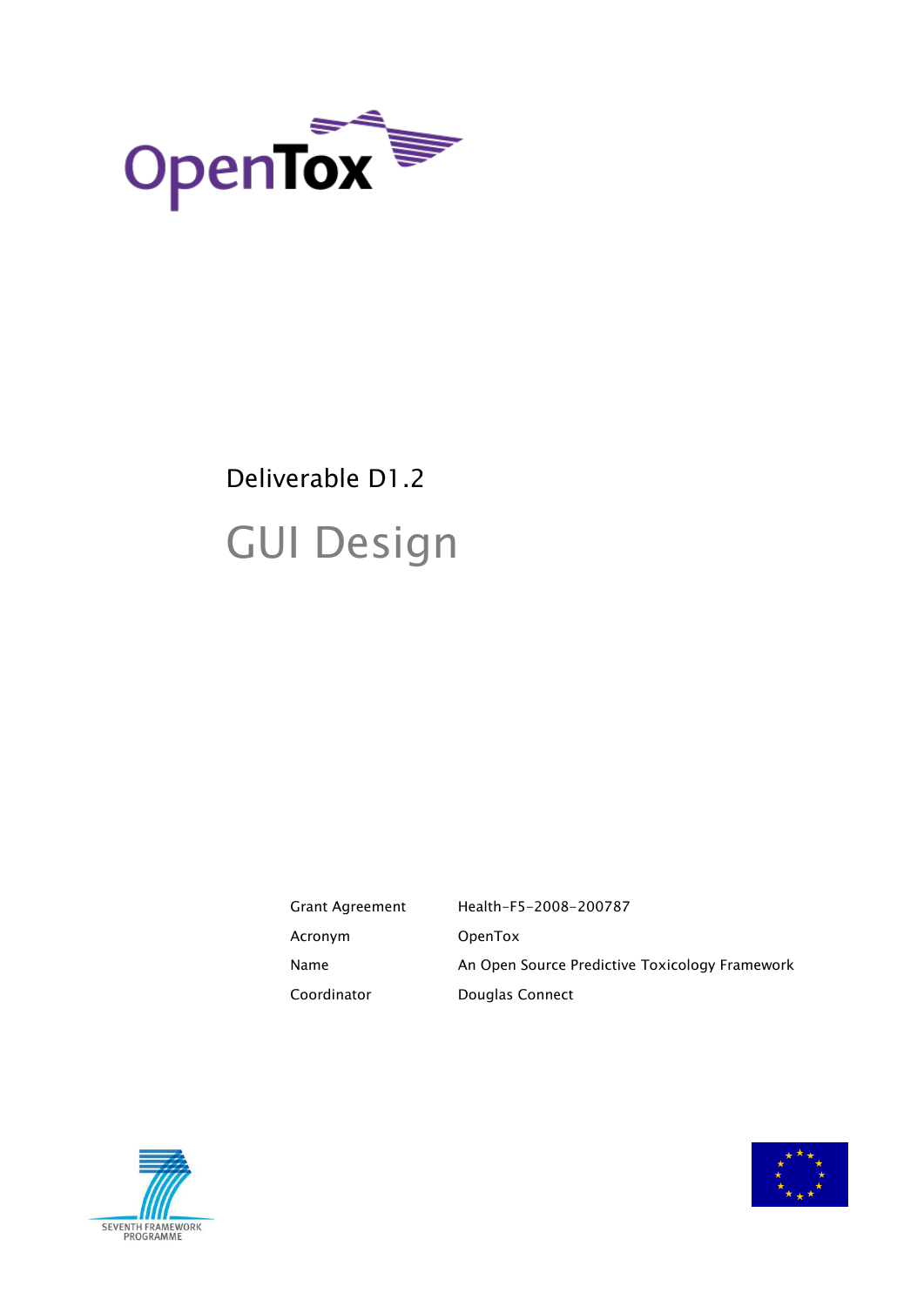

# Deliverable D1.2 GUI Design

Grant Agreement Health-F5-2008-200787 Acronym OpenTox Name **An Open Source Predictive Toxicology Framework** Coordinator Douglas Connect



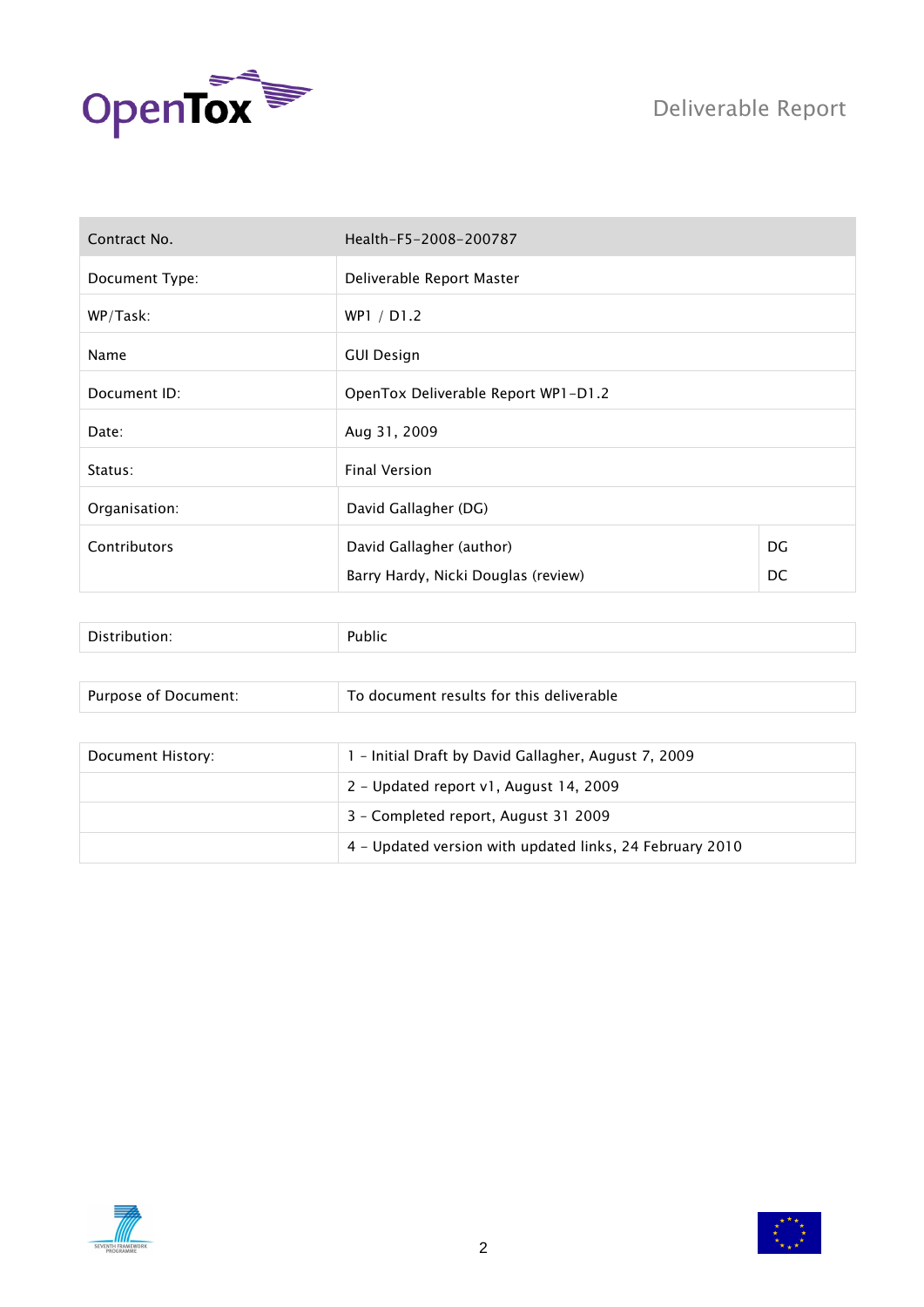



| Contract No.   | Health-F5-2008-200787               |    |  |  |
|----------------|-------------------------------------|----|--|--|
| Document Type: | Deliverable Report Master           |    |  |  |
| WP/Task:       | WP1 / D1.2                          |    |  |  |
| Name           | <b>GUI Design</b>                   |    |  |  |
| Document ID:   | OpenTox Deliverable Report WP1-D1.2 |    |  |  |
| Date:          | Aug 31, 2009                        |    |  |  |
| Status:        | <b>Final Version</b>                |    |  |  |
| Organisation:  | David Gallagher (DG)                |    |  |  |
| Contributors   | DG<br>David Gallagher (author)      |    |  |  |
|                | Barry Hardy, Nicki Douglas (review) | DC |  |  |

| Purpose of Document: | To document results for this deliverable                 |  |  |
|----------------------|----------------------------------------------------------|--|--|
|                      |                                                          |  |  |
| Document History:    | 1 - Initial Draft by David Gallagher, August 7, 2009     |  |  |
|                      | 2 - Updated report v1, August 14, 2009                   |  |  |
|                      | 3 - Completed report, August 31 2009                     |  |  |
|                      | 4 - Updated version with updated links, 24 February 2010 |  |  |



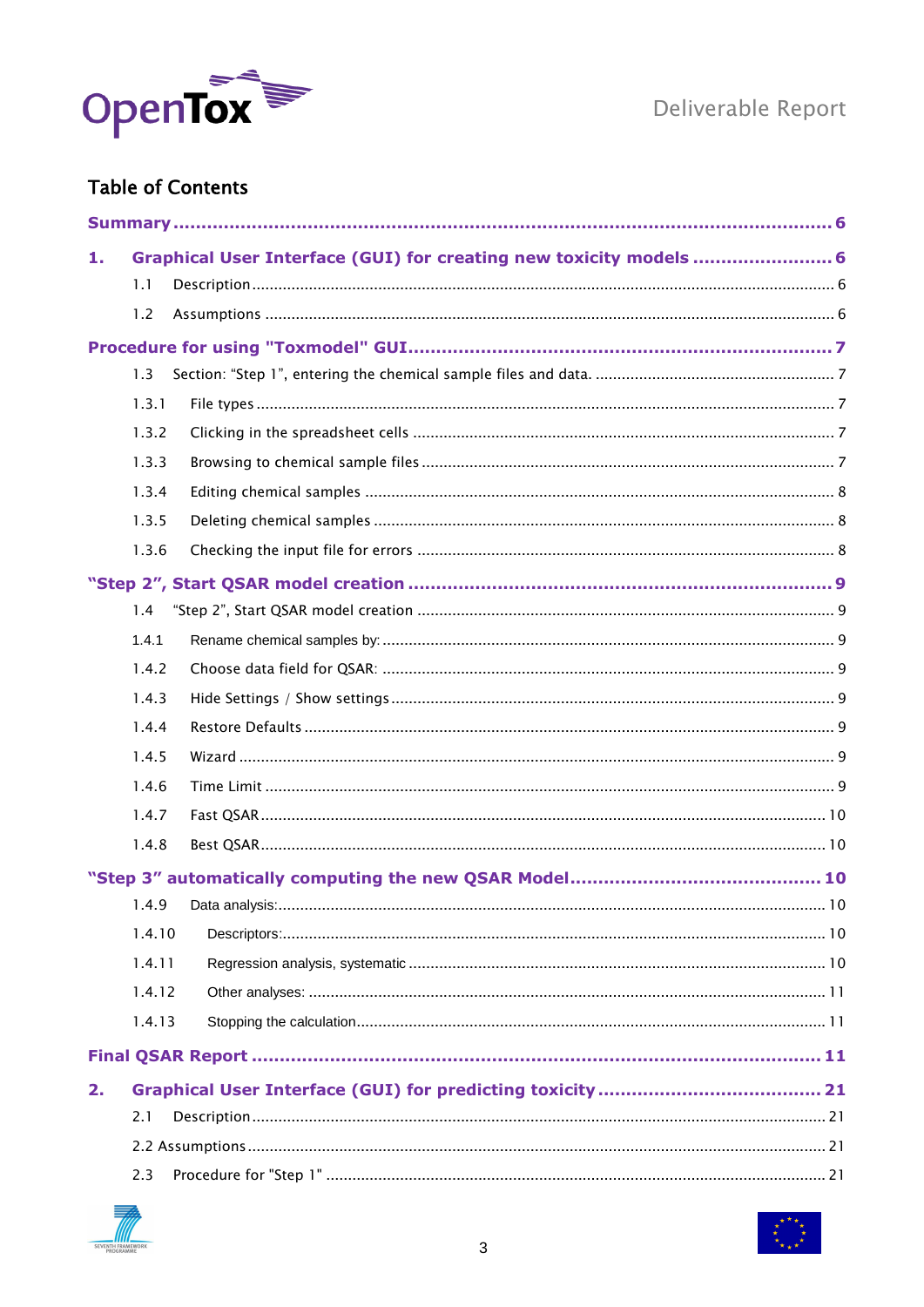

### **Table of Contents**

| 1. |        | Graphical User Interface (GUI) for creating new toxicity models  6 |
|----|--------|--------------------------------------------------------------------|
|    | 1.1    |                                                                    |
|    | 1.2    |                                                                    |
|    |        |                                                                    |
|    | 1.3    |                                                                    |
|    | 1.3.1  |                                                                    |
|    | 1.3.2  |                                                                    |
|    | 1.3.3  |                                                                    |
|    | 1.3.4  |                                                                    |
|    | 1.3.5  |                                                                    |
|    | 1.3.6  |                                                                    |
|    |        |                                                                    |
|    | 1.4    |                                                                    |
|    | 1.4.1  |                                                                    |
|    | 1.4.2  |                                                                    |
|    | 1.4.3  |                                                                    |
|    | 1.4.4  |                                                                    |
|    | 1.4.5  |                                                                    |
|    | 1.4.6  |                                                                    |
|    | 1.4.7  |                                                                    |
|    | 1.4.8  |                                                                    |
|    |        |                                                                    |
|    | 1.4.9  |                                                                    |
|    | 1.4.10 |                                                                    |
|    | 1.4.11 |                                                                    |
|    | 1.4.12 |                                                                    |
|    | 1.4.13 |                                                                    |
|    |        |                                                                    |
| 2. |        |                                                                    |
|    | 2.1    |                                                                    |
|    |        |                                                                    |
|    | 2.3    |                                                                    |



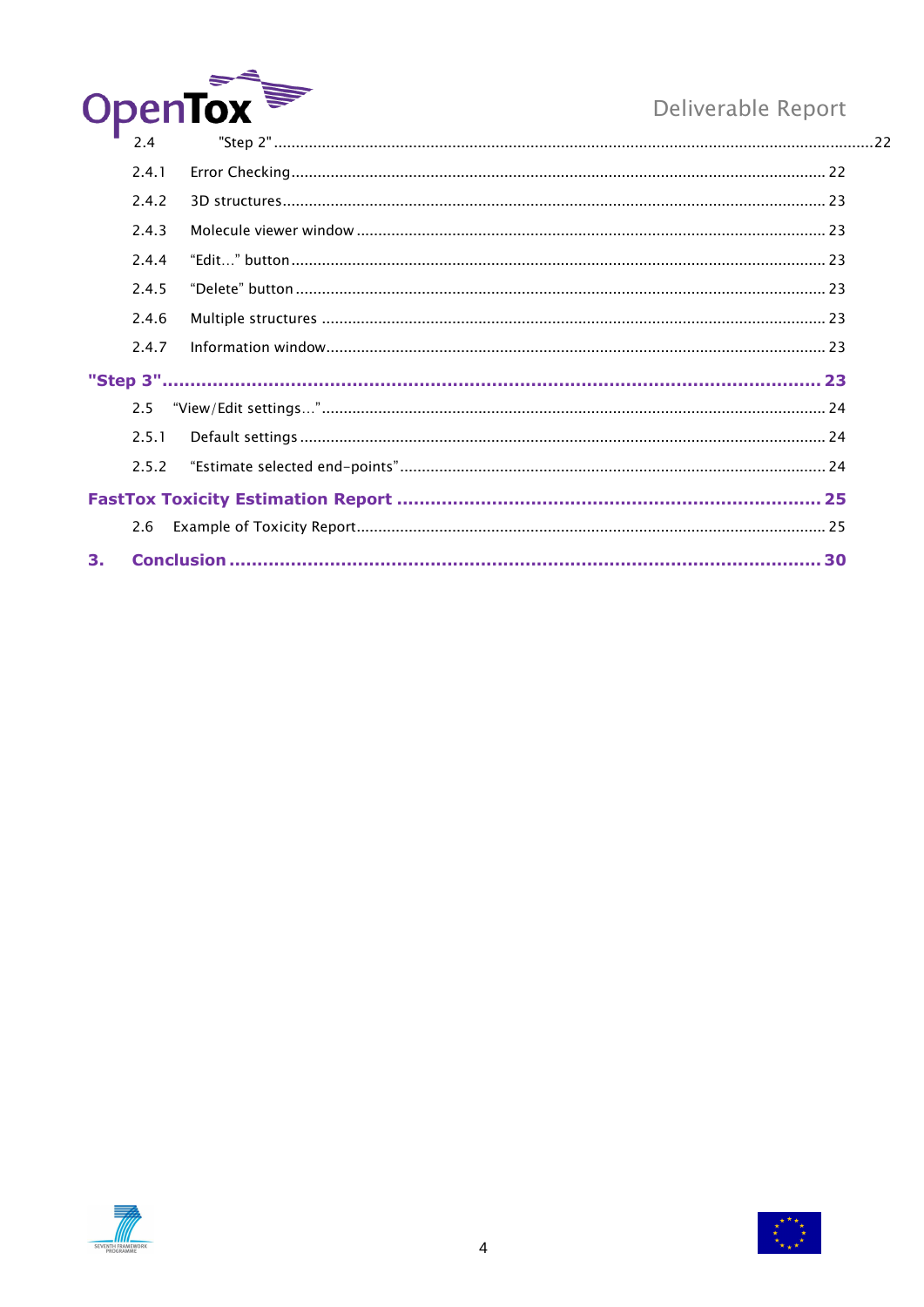

|    | 2.4   |  |
|----|-------|--|
|    | 2.4.1 |  |
|    | 2.4.2 |  |
|    | 2.4.3 |  |
|    | 2.4.4 |  |
|    | 2.4.5 |  |
|    | 2.4.6 |  |
|    | 2.4.7 |  |
|    |       |  |
|    | 25    |  |
|    | 2.5.1 |  |
|    | 2.5.2 |  |
|    |       |  |
|    | 2.6   |  |
| 3. |       |  |



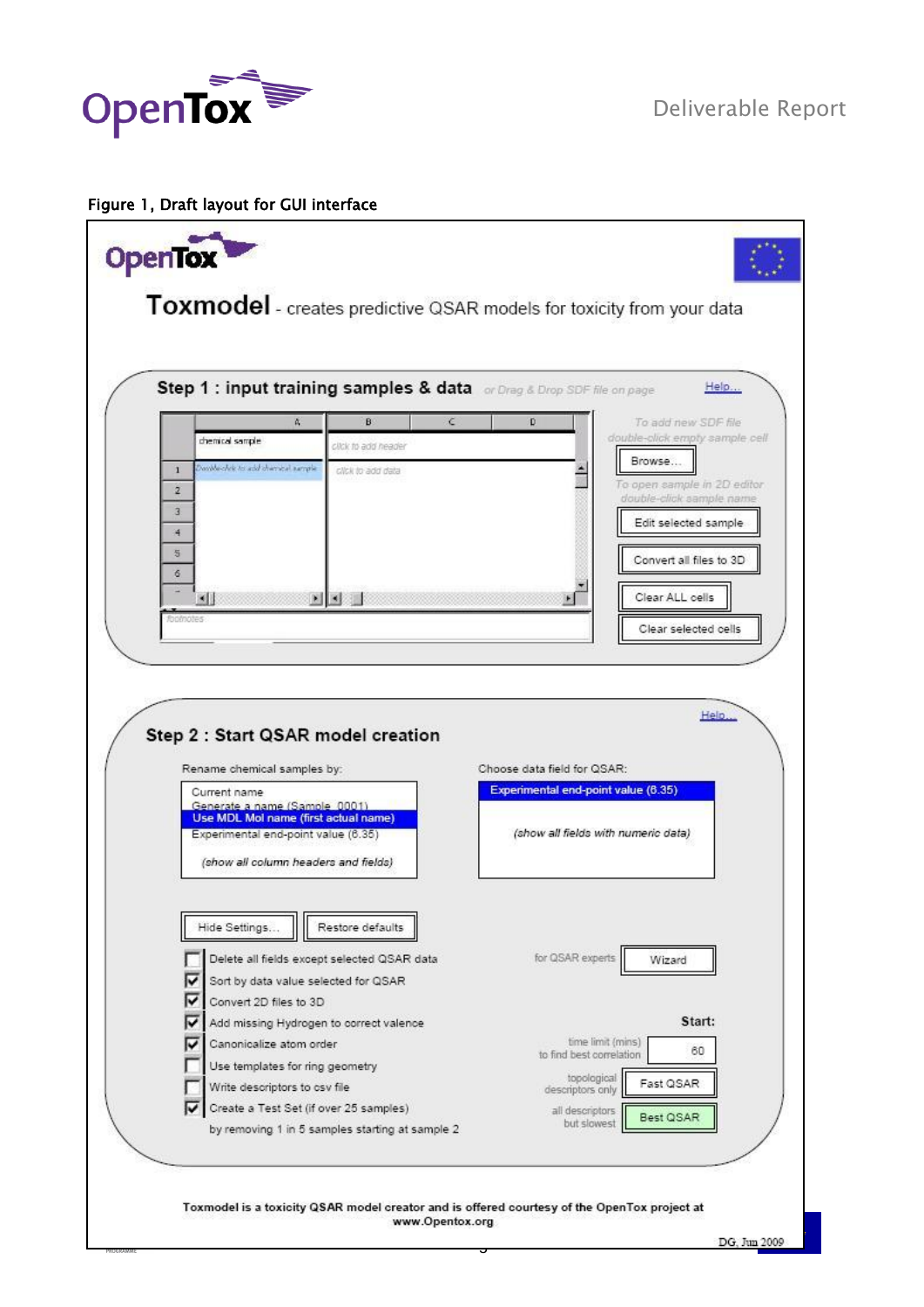

### Figure 1, Draft layout for GUI interface

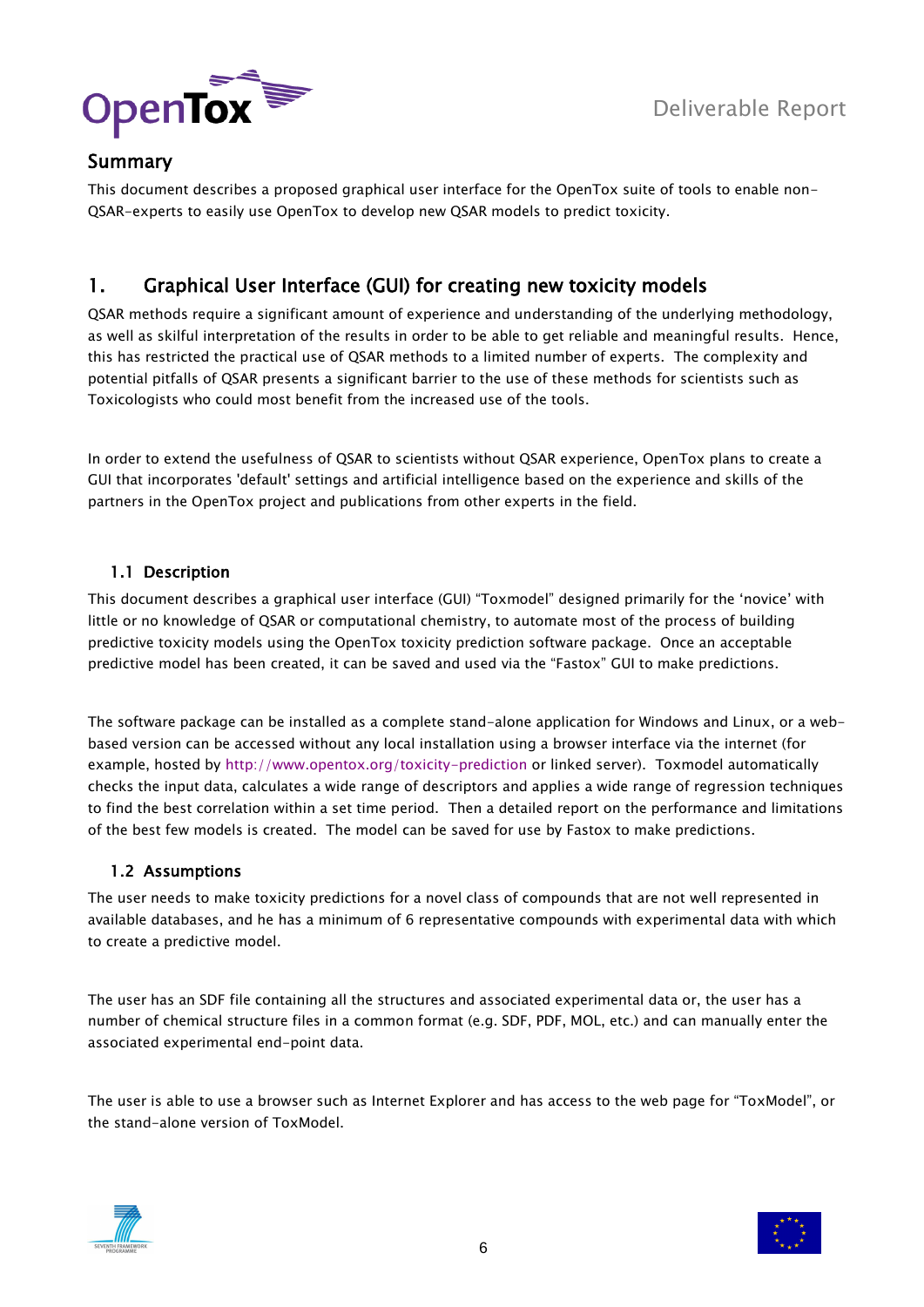

### <span id="page-5-0"></span>Summary

This document describes a proposed graphical user interface for the OpenTox suite of tools to enable non-QSAR-experts to easily use OpenTox to develop new QSAR models to predict toxicity.

### <span id="page-5-1"></span>1. Graphical User Interface (GUI) for creating new toxicity models

QSAR methods require a significant amount of experience and understanding of the underlying methodology, as well as skilful interpretation of the results in order to be able to get reliable and meaningful results. Hence, this has restricted the practical use of QSAR methods to a limited number of experts. The complexity and potential pitfalls of QSAR presents a significant barrier to the use of these methods for scientists such as Toxicologists who could most benefit from the increased use of the tools.

In order to extend the usefulness of QSAR to scientists without QSAR experience, OpenTox plans to create a GUI that incorporates 'default' settings and artificial intelligence based on the experience and skills of the partners in the OpenTox project and publications from other experts in the field.

### <span id="page-5-2"></span>1.1 Description

This document describes a graphical user interface (GUI) "Toxmodel" designed primarily for the "novice" with little or no knowledge of QSAR or computational chemistry, to automate most of the process of building predictive toxicity models using the OpenTox toxicity prediction software package. Once an acceptable predictive model has been created, it can be saved and used via the "Fastox" GUI to make predictions.

The software package can be installed as a complete stand-alone application for Windows and Linux, or a webbased version can be accessed without any local installation using a browser interface via the internet (for example, hosted by<http://www.opentox.org/toxicity-prediction> or linked server). Toxmodel automatically checks the input data, calculates a wide range of descriptors and applies a wide range of regression techniques to find the best correlation within a set time period. Then a detailed report on the performance and limitations of the best few models is created. The model can be saved for use by Fastox to make predictions.

### <span id="page-5-3"></span>1.2 Assumptions

The user needs to make toxicity predictions for a novel class of compounds that are not well represented in available databases, and he has a minimum of 6 representative compounds with experimental data with which to create a predictive model.

The user has an SDF file containing all the structures and associated experimental data or, the user has a number of chemical structure files in a common format (e.g. SDF, PDF, MOL, etc.) and can manually enter the associated experimental end-point data.

The user is able to use a browser such as Internet Explorer and has access to the web page for "ToxModel", or the stand-alone version of ToxModel.



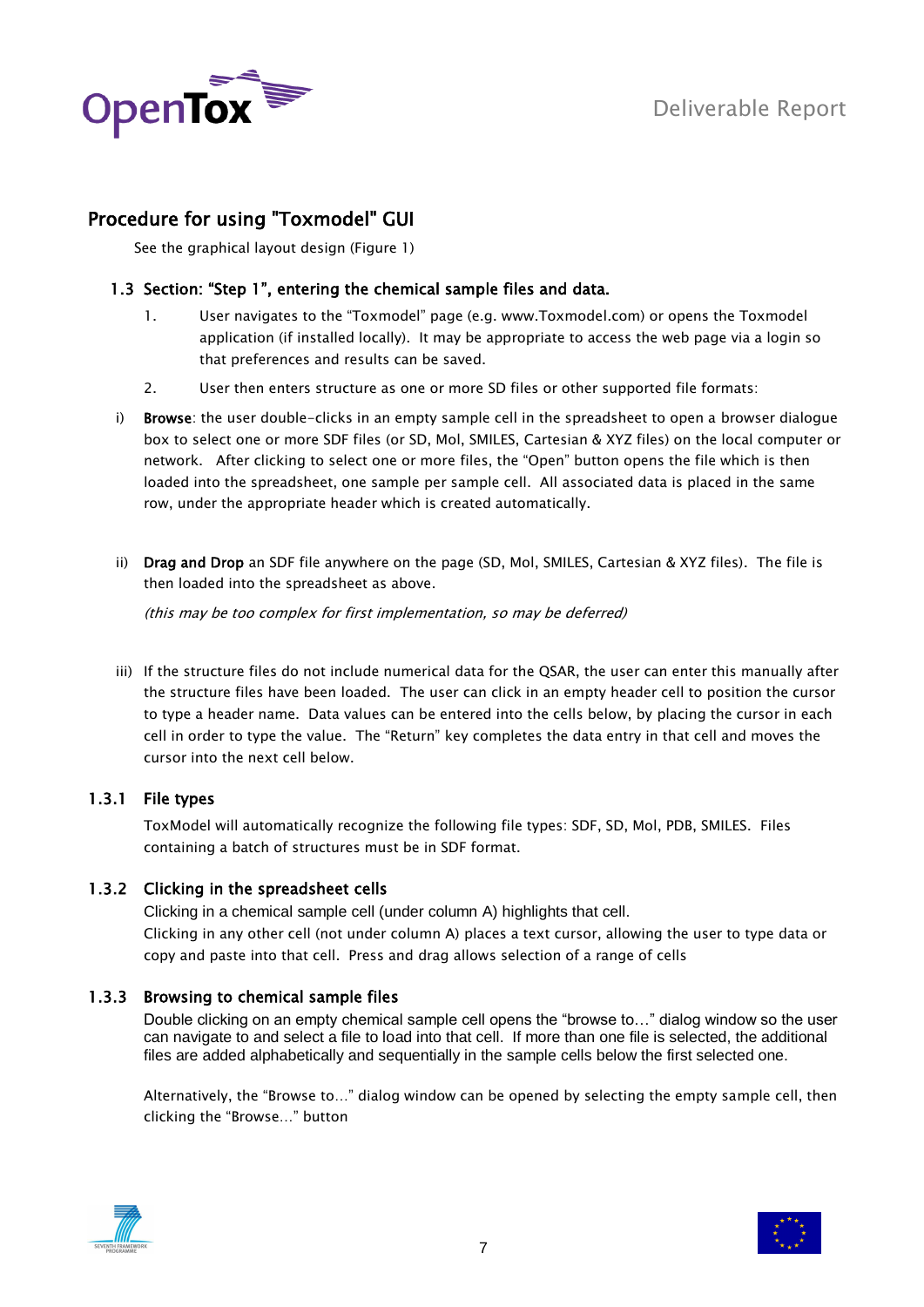

### <span id="page-6-0"></span>Procedure for using "Toxmodel" GUI

See the graphical layout design (Figure 1)

### <span id="page-6-1"></span>1.3 Section: "Step 1", entering the chemical sample files and data.

- 1. User navigates to the "Toxmodel" page (e.g. www.Toxmodel.com) or opens the Toxmodel application (if installed locally). It may be appropriate to access the web page via a login so that preferences and results can be saved.
- 2. User then enters structure as one or more SD files or other supported file formats:
- i) Browse: the user double-clicks in an empty sample cell in the spreadsheet to open a browser dialogue box to select one or more SDF files (or SD, Mol, SMILES, Cartesian & XYZ files) on the local computer or network. After clicking to select one or more files, the "Open" button opens the file which is then loaded into the spreadsheet, one sample per sample cell. All associated data is placed in the same row, under the appropriate header which is created automatically.
- ii) Drag and Drop an SDF file anywhere on the page (SD, Mol, SMILES, Cartesian & XYZ files). The file is then loaded into the spreadsheet as above.

(this may be too complex for first implementation, so may be deferred)

iii) If the structure files do not include numerical data for the QSAR, the user can enter this manually after the structure files have been loaded. The user can click in an empty header cell to position the cursor to type a header name. Data values can be entered into the cells below, by placing the cursor in each cell in order to type the value. The "Return" key completes the data entry in that cell and moves the cursor into the next cell below.

### <span id="page-6-2"></span>1.3.1 File types

ToxModel will automatically recognize the following file types: SDF, SD, Mol, PDB, SMILES. Files containing a batch of structures must be in SDF format.

### <span id="page-6-3"></span>1.3.2 Clicking in the spreadsheet cells

Clicking in a chemical sample cell (under column A) highlights that cell. Clicking in any other cell (not under column A) places a text cursor, allowing the user to type data or copy and paste into that cell. Press and drag allows selection of a range of cells

### <span id="page-6-4"></span>1.3.3 Browsing to chemical sample files

Double clicking on an empty chemical sample cell opens the "browse to…" dialog window so the user can navigate to and select a file to load into that cell. If more than one file is selected, the additional files are added alphabetically and sequentially in the sample cells below the first selected one.

Alternatively, the "Browse to…" dialog window can be opened by selecting the empty sample cell, then clicking the "Browse…" button



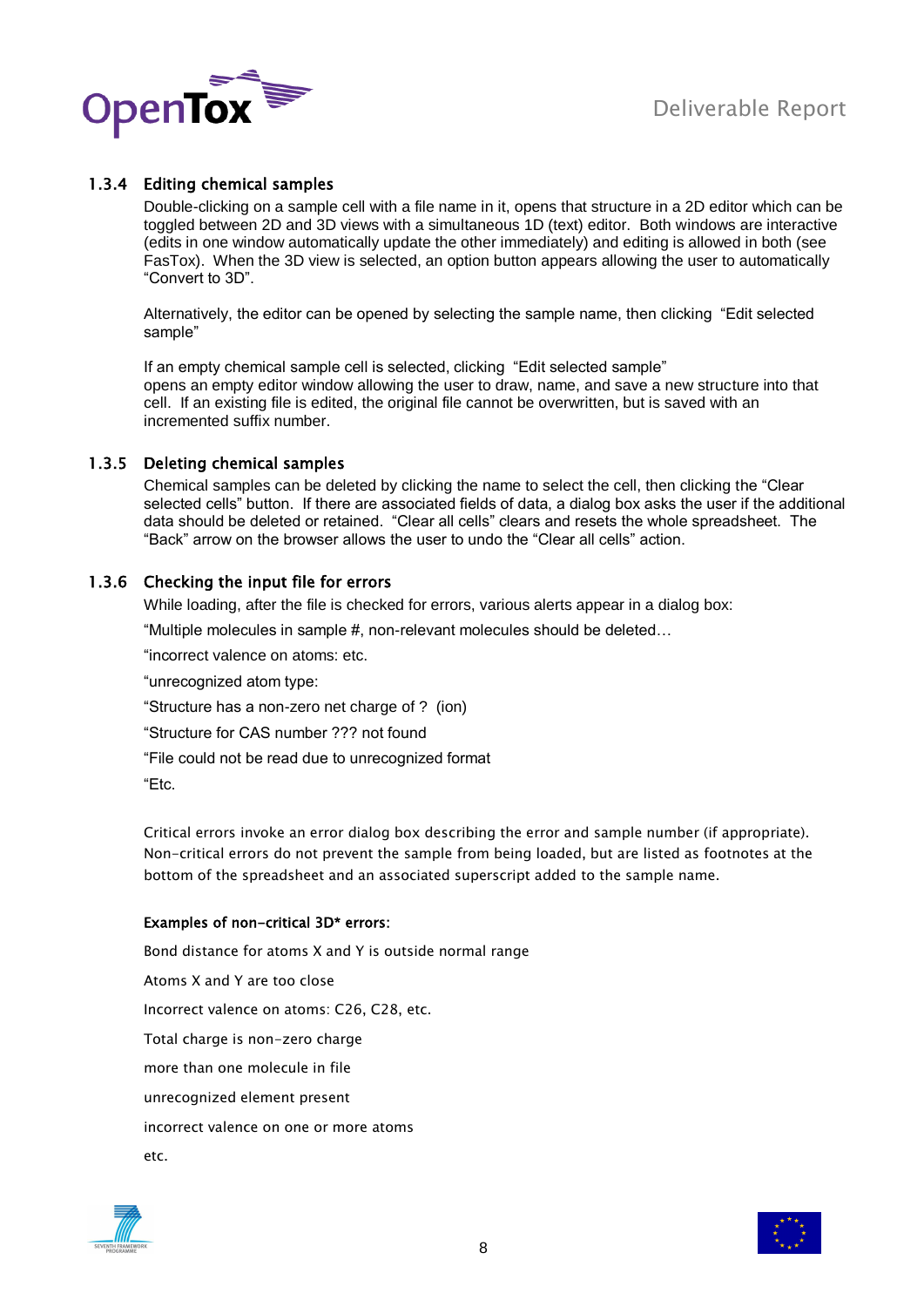

### <span id="page-7-0"></span>1.3.4 Editing chemical samples

Double-clicking on a sample cell with a file name in it, opens that structure in a 2D editor which can be toggled between 2D and 3D views with a simultaneous 1D (text) editor. Both windows are interactive (edits in one window automatically update the other immediately) and editing is allowed in both (see FasTox). When the 3D view is selected, an option button appears allowing the user to automatically "Convert to 3D".

Alternatively, the editor can be opened by selecting the sample name, then clicking "Edit selected sample"

If an empty chemical sample cell is selected, clicking "Edit selected sample" opens an empty editor window allowing the user to draw, name, and save a new structure into that cell. If an existing file is edited, the original file cannot be overwritten, but is saved with an incremented suffix number.

### <span id="page-7-1"></span>1.3.5 Deleting chemical samples

Chemical samples can be deleted by clicking the name to select the cell, then clicking the "Clear selected cells" button. If there are associated fields of data, a dialog box asks the user if the additional data should be deleted or retained. "Clear all cells" clears and resets the whole spreadsheet. The "Back" arrow on the browser allows the user to undo the "Clear all cells" action.

### <span id="page-7-2"></span>1.3.6 Checking the input file for errors

While loading, after the file is checked for errors, various alerts appear in a dialog box:

"Multiple molecules in sample #, non-relevant molecules should be deleted…

"incorrect valence on atoms: etc.

"unrecognized atom type:

"Structure has a non-zero net charge of ? (ion)

"Structure for CAS number ??? not found

"File could not be read due to unrecognized format

"Etc.

Critical errors invoke an error dialog box describing the error and sample number (if appropriate). Non-critical errors do not prevent the sample from being loaded, but are listed as footnotes at the bottom of the spreadsheet and an associated superscript added to the sample name.

### Examples of non-critical 3D\* errors:

Bond distance for atoms X and Y is outside normal range Atoms X and Y are too close Incorrect valence on atoms: C26, C28, etc. Total charge is non-zero charge more than one molecule in file unrecognized element present incorrect valence on one or more atoms etc.



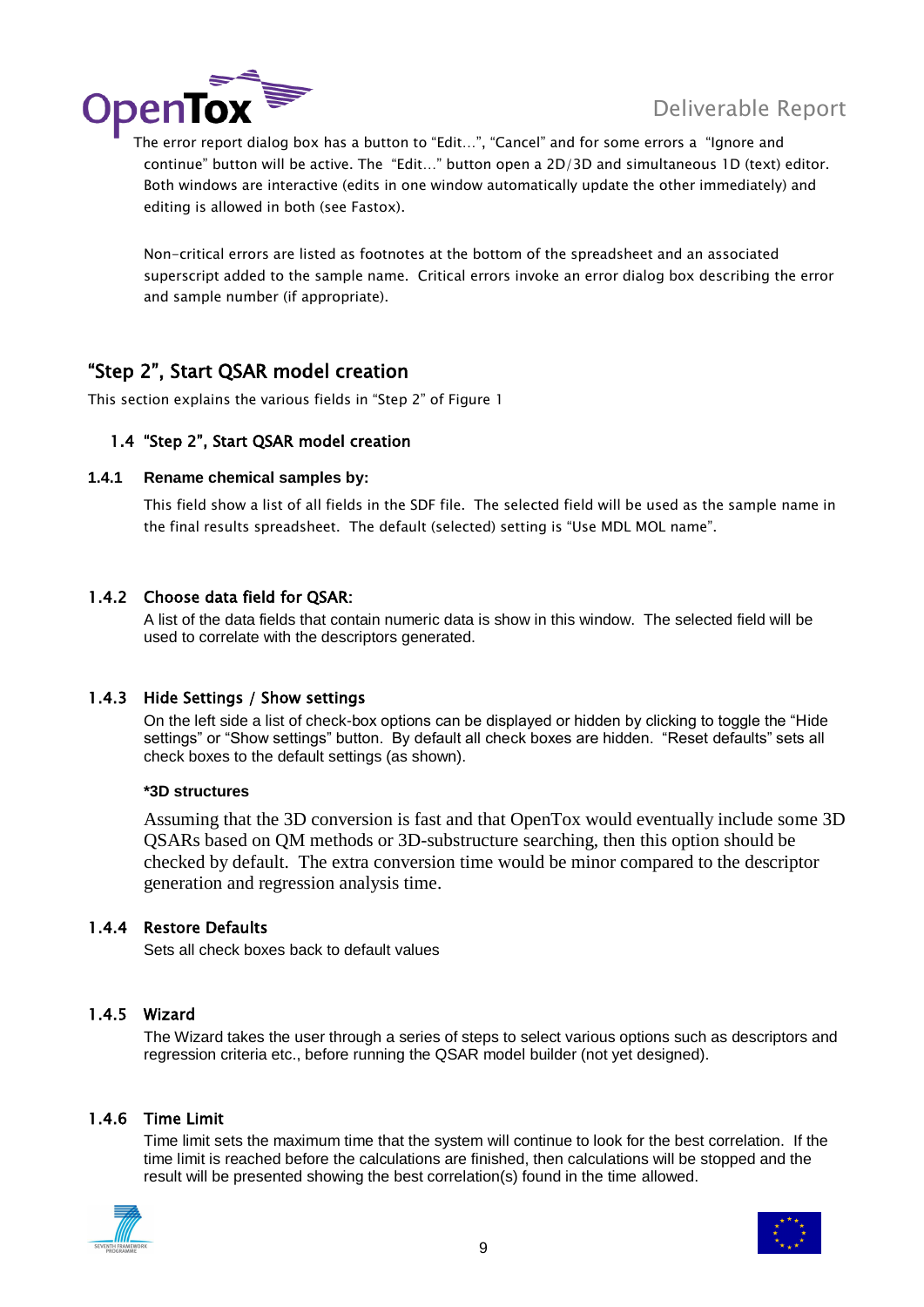

continue" button will be active. The "Edit…" button open a 2D/3D and simultaneous 1D (text) editor. Both windows are interactive (edits in one window automatically update the other immediately) and editing is allowed in both (see Fastox).

Non-critical errors are listed as footnotes at the bottom of the spreadsheet and an associated superscript added to the sample name. Critical errors invoke an error dialog box describing the error and sample number (if appropriate).

### <span id="page-8-0"></span>"Step 2", Start QSAR model creation

<span id="page-8-1"></span>This section explains the various fields in "Step 2" of Figure 1

### 1.4 "Step 2", Start QSAR model creation

### <span id="page-8-2"></span>**1.4.1 Rename chemical samples by:**

This field show a list of all fields in the SDF file. The selected field will be used as the sample name in the final results spreadsheet. The default (selected) setting is "Use MDL MOL name".

### <span id="page-8-3"></span>1.4.2 Choose data field for QSAR:

A list of the data fields that contain numeric data is show in this window. The selected field will be used to correlate with the descriptors generated.

### <span id="page-8-4"></span>1.4.3 Hide Settings / Show settings

On the left side a list of check-box options can be displayed or hidden by clicking to toggle the "Hide settings" or "Show settings" button. By default all check boxes are hidden. "Reset defaults" sets all check boxes to the default settings (as shown).

### **\*3D structures**

Assuming that the 3D conversion is fast and that OpenTox would eventually include some 3D QSARs based on QM methods or 3D-substructure searching, then this option should be checked by default. The extra conversion time would be minor compared to the descriptor generation and regression analysis time.

### <span id="page-8-5"></span>1.4.4 Restore Defaults

Sets all check boxes back to default values

### <span id="page-8-6"></span>1.4.5 Wizard

The Wizard takes the user through a series of steps to select various options such as descriptors and regression criteria etc., before running the QSAR model builder (not yet designed).

### <span id="page-8-7"></span>1.4.6 Time Limit

Time limit sets the maximum time that the system will continue to look for the best correlation. If the time limit is reached before the calculations are finished, then calculations will be stopped and the result will be presented showing the best correlation(s) found in the time allowed.



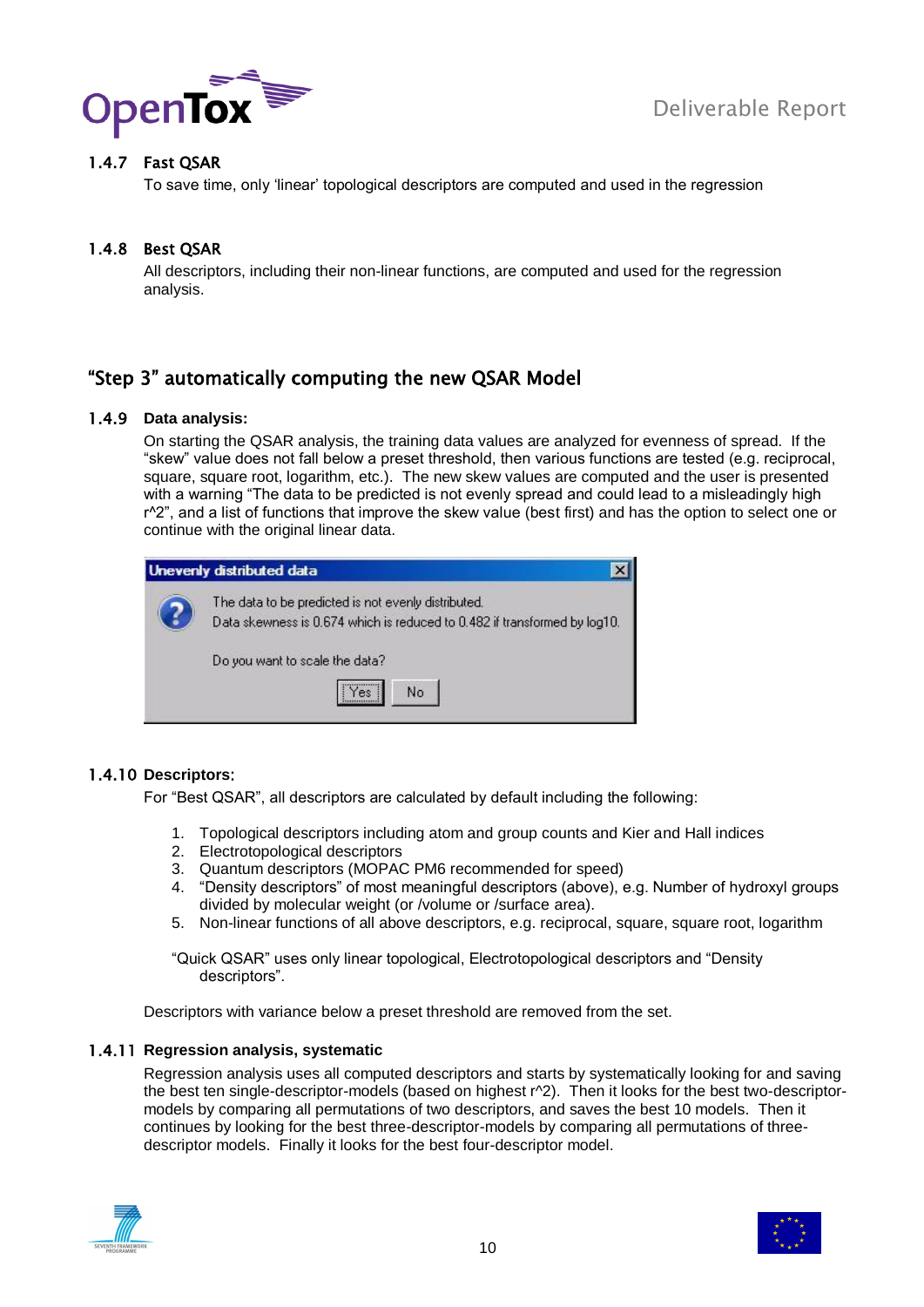



### <span id="page-9-0"></span>1.4.7 Fast QSAR

To save time, only "linear" topological descriptors are computed and used in the regression

### <span id="page-9-1"></span>1.4.8 Best QSAR

All descriptors, including their non-linear functions, are computed and used for the regression analysis.

### <span id="page-9-2"></span>"Step 3" automatically computing the new QSAR Model

### <span id="page-9-3"></span>1.4.9 **Data analysis:**

On starting the QSAR analysis, the training data values are analyzed for evenness of spread. If the "skew" value does not fall below a preset threshold, then various functions are tested (e.g. reciprocal, square, square root, logarithm, etc.). The new skew values are computed and the user is presented with a warning "The data to be predicted is not evenly spread and could lead to a misleadingly high r^2", and a list of functions that improve the skew value (best first) and has the option to select one or continue with the original linear data.

| Unevenly distributed data                                                                                                        |
|----------------------------------------------------------------------------------------------------------------------------------|
| The data to be predicted is not evenly distributed.<br>Data skewness is 0.674 which is reduced to 0.482 if transformed by log10. |
| Do you want to scale the data?                                                                                                   |
| No                                                                                                                               |

### <span id="page-9-4"></span>1.4.10 **Descriptors**:

For "Best QSAR", all descriptors are calculated by default including the following:

- 1. Topological descriptors including atom and group counts and Kier and Hall indices
- 2. Electrotopological descriptors
- 3. Quantum descriptors (MOPAC PM6 recommended for speed)
- 4. "Density descriptors" of most meaningful descriptors (above), e.g. Number of hydroxyl groups divided by molecular weight (or /volume or /surface area).
- 5. Non-linear functions of all above descriptors, e.g. reciprocal, square, square root, logarithm

"Quick QSAR" uses only linear topological, Electrotopological descriptors and "Density descriptors".

Descriptors with variance below a preset threshold are removed from the set.

### <span id="page-9-5"></span>1.4.11 **Regression analysis, systematic**

Regression analysis uses all computed descriptors and starts by systematically looking for and saving the best ten single-descriptor-models (based on highest r^2). Then it looks for the best two-descriptormodels by comparing all permutations of two descriptors, and saves the best 10 models. Then it continues by looking for the best three-descriptor-models by comparing all permutations of threedescriptor models. Finally it looks for the best four-descriptor model.



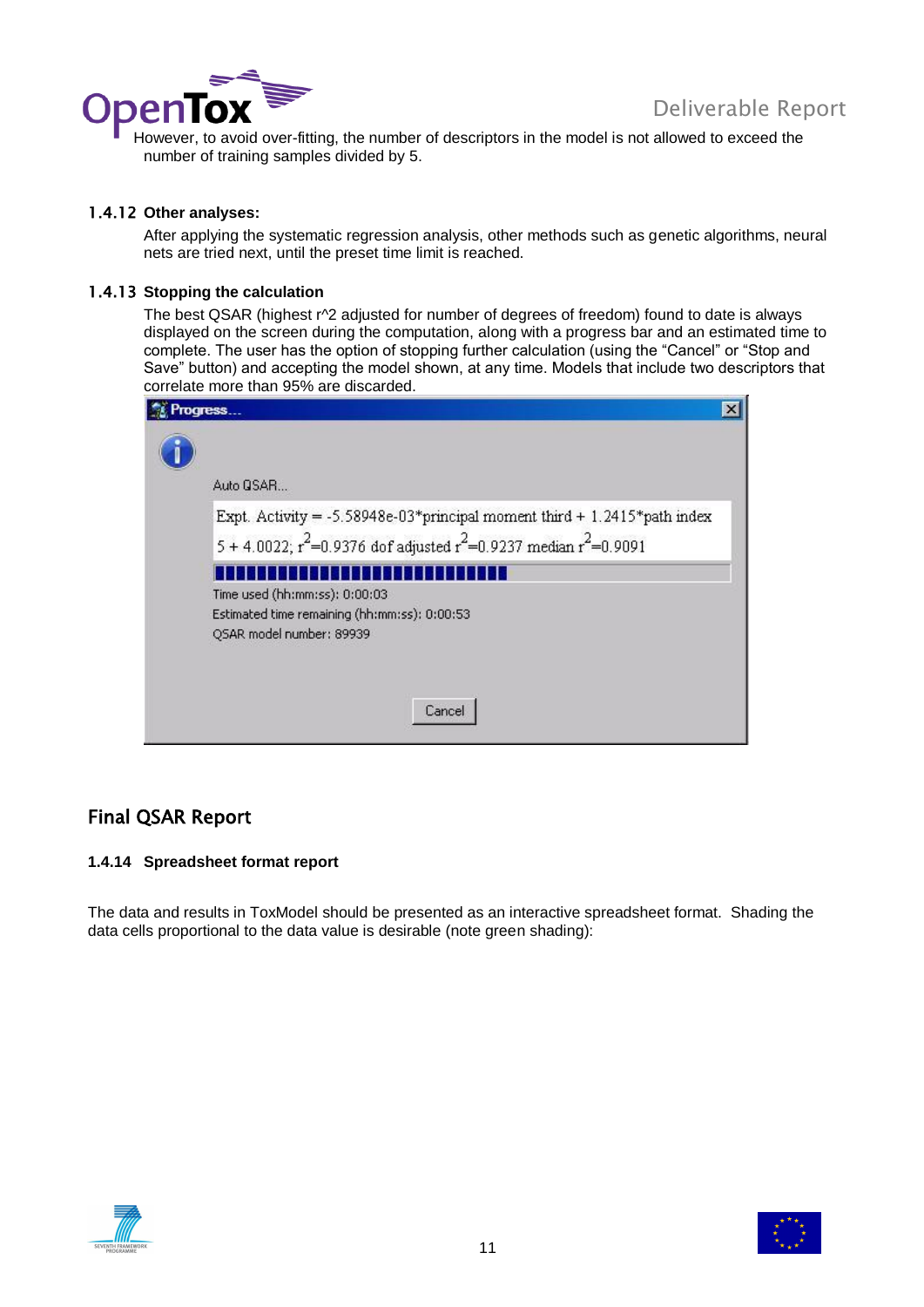

Deliverable Represent to avoid over-fitting, the number of descriptors in the model is not allowed to exceed the number of training samples divided by 5.

### <span id="page-10-0"></span>1.4.12 **Other analyses:**

After applying the systematic regression analysis, other methods such as genetic algorithms, neural nets are tried next, until the preset time limit is reached.

### <span id="page-10-1"></span>1.4.13 **Stopping the calculation**

The best QSAR (highest r^2 adjusted for number of degrees of freedom) found to date is always displayed on the screen during the computation, along with a progress bar and an estimated time to complete. The user has the option of stopping further calculation (using the "Cancel" or "Stop and Save" button) and accepting the model shown, at any time. Models that include two descriptors that correlate more than 95% are discarded.

| Auto GSAR                                                                                                                                                |  |
|----------------------------------------------------------------------------------------------------------------------------------------------------------|--|
| Expt. Activity = $-5.58948e-03*$ principal moment third + 1.2415*path index<br>5 + 4.0022; $r^2$ =0.9376 dof adjusted $r^2$ =0.9237 median $r^2$ =0.9091 |  |
| Time used (hh:mm:ss): 0:00:03<br>Estimated time remaining (hh:mm:ss): 0:00:53<br>QSAR model number: 89939                                                |  |
| Cancel                                                                                                                                                   |  |

### <span id="page-10-2"></span>Final QSAR Report

### **1.4.14 Spreadsheet format report**

The data and results in ToxModel should be presented as an interactive spreadsheet format. Shading the data cells proportional to the data value is desirable (note green shading):



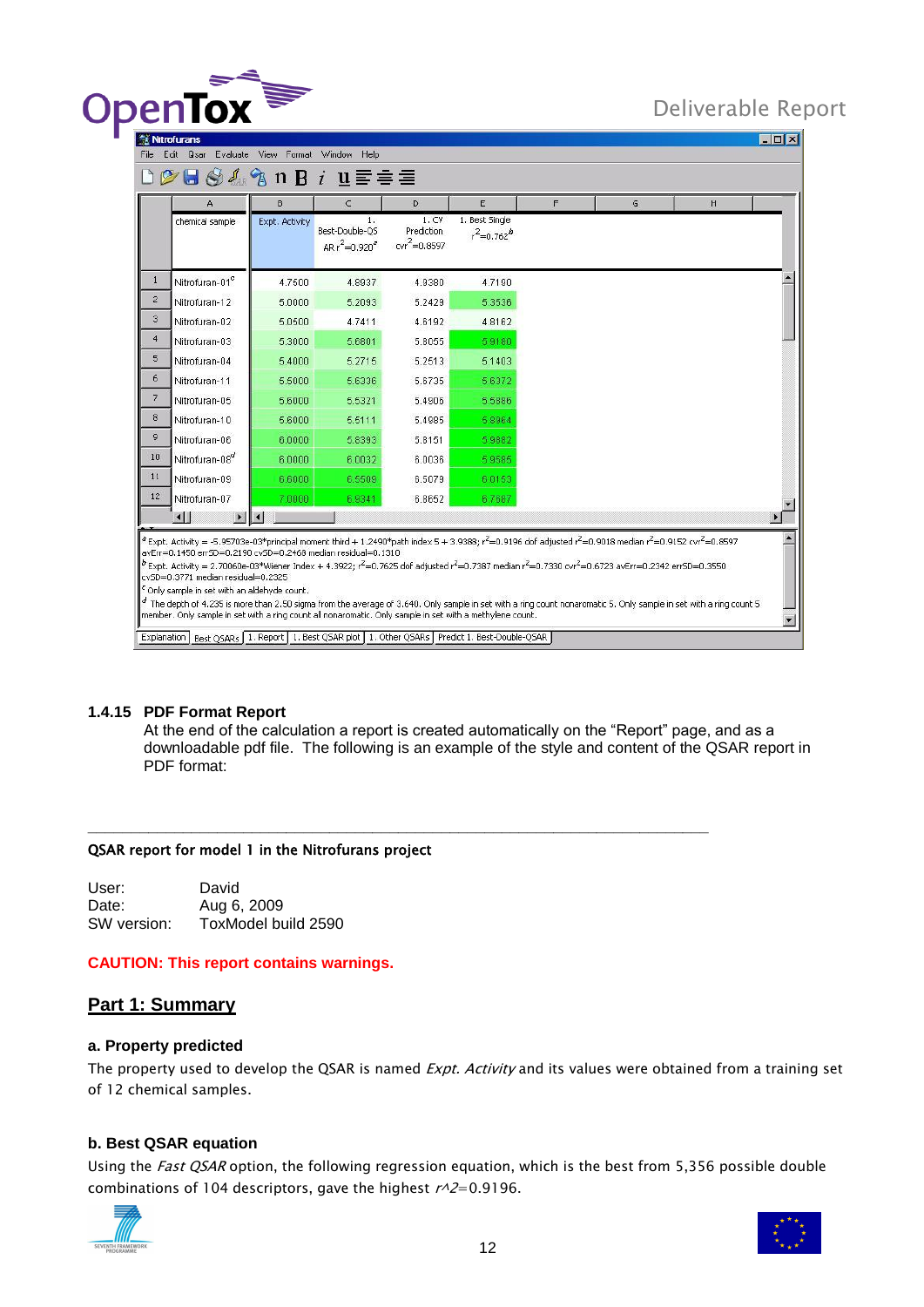

**TELEVI** 

| А                                                                                                                                                             | B.             | $\epsilon$                                 | D                                                                                                        | E                                 | F | G                                                                                                                                                                                                                                                                                                                                                                                                                                                                                                                                                                           | H |  |
|---------------------------------------------------------------------------------------------------------------------------------------------------------------|----------------|--------------------------------------------|----------------------------------------------------------------------------------------------------------|-----------------------------------|---|-----------------------------------------------------------------------------------------------------------------------------------------------------------------------------------------------------------------------------------------------------------------------------------------------------------------------------------------------------------------------------------------------------------------------------------------------------------------------------------------------------------------------------------------------------------------------------|---|--|
| chemical sample                                                                                                                                               | Expt. Activity | 1.<br>Best-Double-QS<br>AR $r^2 = 0.920^7$ | 1. CV<br>Prediction<br>$cvr^2 = 0.8597$                                                                  | 1. Best Single<br>$r^2 = 0.762^b$ |   |                                                                                                                                                                                                                                                                                                                                                                                                                                                                                                                                                                             |   |  |
| Nitrofuran-01°                                                                                                                                                | 4.7500         | 4.8937                                     | 4.9380                                                                                                   | 4.7190                            |   |                                                                                                                                                                                                                                                                                                                                                                                                                                                                                                                                                                             |   |  |
| Nitrofuran-12                                                                                                                                                 | 5.0000         | 5.2093                                     | 5.2429                                                                                                   | 5.3536                            |   |                                                                                                                                                                                                                                                                                                                                                                                                                                                                                                                                                                             |   |  |
| Nitrofuran-02                                                                                                                                                 | 5.0500         | 4.7411                                     | 4.6192                                                                                                   | 4.8162                            |   |                                                                                                                                                                                                                                                                                                                                                                                                                                                                                                                                                                             |   |  |
| Nitrofuran-03                                                                                                                                                 | 5.3000         | 5.6801                                     | 5.8055                                                                                                   | 5.9180                            |   |                                                                                                                                                                                                                                                                                                                                                                                                                                                                                                                                                                             |   |  |
| Nitrofuran-04                                                                                                                                                 | 5.4000         | 5.2715                                     | 5.2513                                                                                                   | 5.1403                            |   |                                                                                                                                                                                                                                                                                                                                                                                                                                                                                                                                                                             |   |  |
| Nitrofuran-11                                                                                                                                                 | 5,5000         | 5.6336                                     | 5.6735                                                                                                   | 5.6372                            |   |                                                                                                                                                                                                                                                                                                                                                                                                                                                                                                                                                                             |   |  |
| Nitrofuran-05                                                                                                                                                 | 5,6000         | 5.5321                                     | 5.4906                                                                                                   | 5.5886                            |   |                                                                                                                                                                                                                                                                                                                                                                                                                                                                                                                                                                             |   |  |
| Nitrofuran-10                                                                                                                                                 | 5.6000         | 5.5111                                     | 5.4985                                                                                                   | 5.8964                            |   |                                                                                                                                                                                                                                                                                                                                                                                                                                                                                                                                                                             |   |  |
| Nitrofuran-06                                                                                                                                                 | 6.0000         | 5.8393                                     | 5.8151                                                                                                   | 5.9882                            |   |                                                                                                                                                                                                                                                                                                                                                                                                                                                                                                                                                                             |   |  |
| Nitrofuran-08°                                                                                                                                                | 6,0000         | 6.0032                                     | 6.0036                                                                                                   | 5.9585                            |   |                                                                                                                                                                                                                                                                                                                                                                                                                                                                                                                                                                             |   |  |
| Nitrofuran-09                                                                                                                                                 | 6,6000         | 6,5509                                     | 6.5079                                                                                                   | 6.0153                            |   |                                                                                                                                                                                                                                                                                                                                                                                                                                                                                                                                                                             |   |  |
| Nitrofuran-07                                                                                                                                                 | 7.0000         | 6.9341                                     | 6.8652                                                                                                   | 6.7687                            |   |                                                                                                                                                                                                                                                                                                                                                                                                                                                                                                                                                                             |   |  |
| $\blacksquare$<br>$\blacktriangleright$                                                                                                                       |                |                                            |                                                                                                          |                                   |   |                                                                                                                                                                                                                                                                                                                                                                                                                                                                                                                                                                             |   |  |
| avErr=0.1450 errSD=0.2190 cvSD=0.2468 median residual=0.1310<br>cySD=0.3771 median residual=0.2325<br><sup>c</sup> Only sample in set with an aldehyde count. |                |                                            | member. Only sample in set with a ring count all nonaromatic. Only sample in set with a methylene count. |                                   |   | <sup>2</sup> Expt. Activity = -5.95703e-03*principal moment third + 1.2490*path index 5 + 3.9388; r <sup>2</sup> =0.9196 dof adjusted r <sup>2</sup> =0.9018 median r <sup>2</sup> =0.9152 cvr <sup>2</sup> =0.8597<br>$^{b}$ Expt. Activity = 2.70060e-03*Wiener Index + 4.3922; $r^2$ =0.7625 dof adjusted $r^2$ =0.7387 median $r^2$ =0.7330 cvr <sup>2</sup> =0.6723 avErr=0.2342 errSD=0.3550<br>$^d$ The depth of 4.235 is more than 2.50 sigma from the average of 3.640. Only sample in set with a ring count nonaromatic 5. Only sample in set with a ring count 5 |   |  |

### **1.4.15 PDF Format Report**

At the end of the calculation a report is created automatically on the "Report" page, and as a downloadable pdf file. The following is an example of the style and content of the QSAR report in PDF format:

**\_\_\_\_\_\_\_\_\_\_\_\_\_\_\_\_\_\_\_\_\_\_\_\_\_\_\_\_\_\_\_\_\_\_\_\_\_\_\_\_\_\_\_\_\_\_\_\_\_\_\_\_\_\_\_\_\_\_\_\_\_\_\_\_\_\_\_\_\_\_\_\_**

### QSAR report for model 1 in the Nitrofurans project

User: David Date: Aug 6, 2009 SW version: ToxModel build 2590

### **CAUTION: This report contains warnings.**

### **Part 1: Summary**

### **a. Property predicted**

The property used to develop the QSAR is named Expt. Activity and its values were obtained from a training set of 12 chemical samples.

### **b. Best QSAR equation**

Using the Fast QSAR option, the following regression equation, which is the best from 5,356 possible double combinations of 104 descriptors, gave the highest  $r^2-0.9196$ .



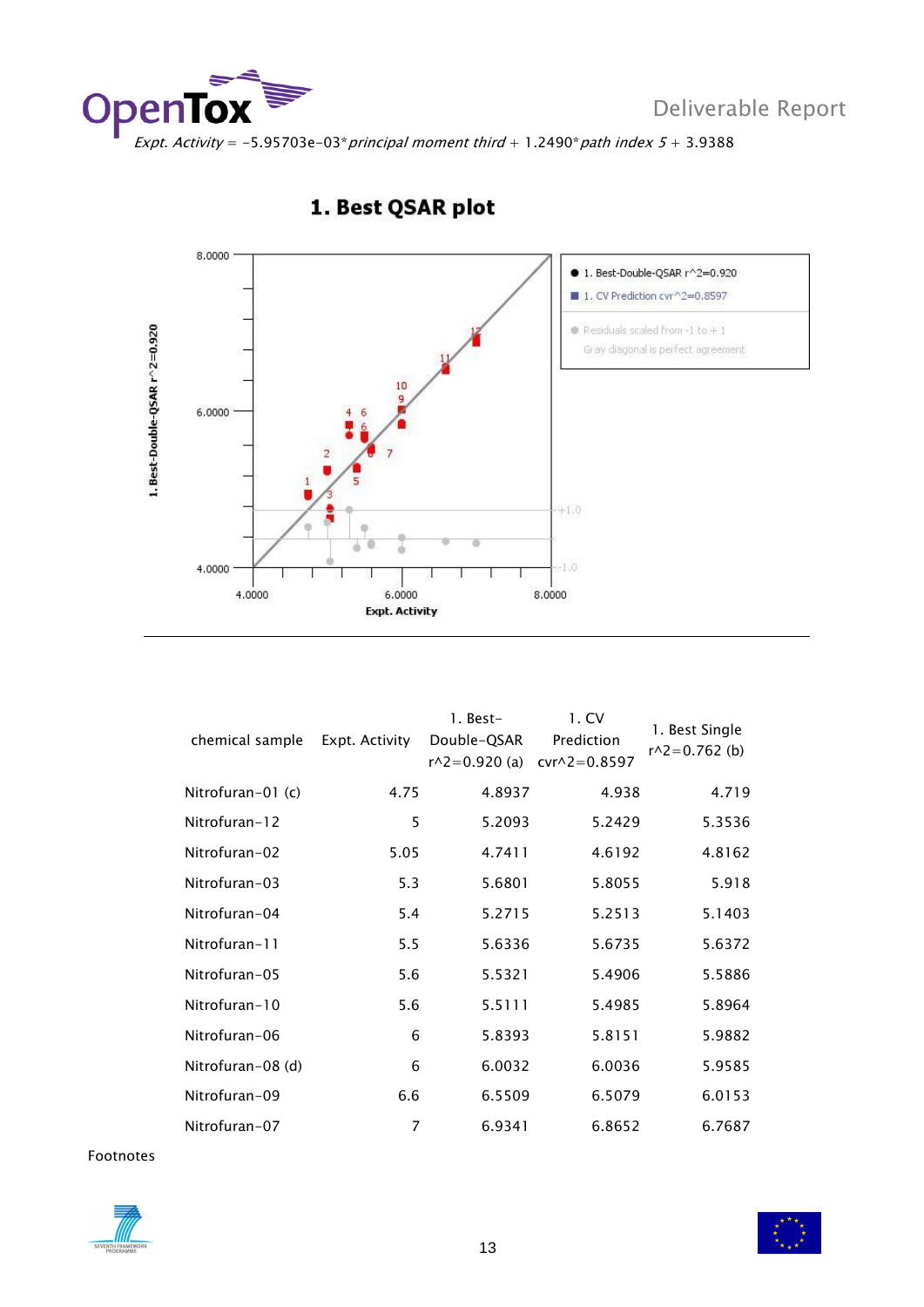



### 1. Best QSAR plot

| chemical sample     | Expt. Activity | 1. Best-<br>Double-QSAR<br>$r^2 = 0.920$ (a) | 1. CV<br>Prediction<br>$cvr^2 = 0.8597$ | 1. Best Single<br>$r^2 = 0.762$ (b) |
|---------------------|----------------|----------------------------------------------|-----------------------------------------|-------------------------------------|
| Nitrofuran-01 $(c)$ | 4.75           | 4.8937                                       | 4.938                                   | 4.719                               |
| Nitrofuran-12       | 5              | 5.2093                                       | 5.2429                                  | 5.3536                              |
| Nitrofuran-02       | 5.05           | 4.7411                                       | 4.6192                                  | 4.8162                              |
| Nitrofuran-03       | 5.3            | 5.6801                                       | 5.8055                                  | 5.918                               |
| Nitrofuran-04       | 5.4            | 5.2715                                       | 5.2513                                  | 5.1403                              |
| Nitrofuran-11       | 5.5            | 5.6336                                       | 5.6735                                  | 5.6372                              |
| Nitrofuran-05       | 5.6            | 5.5321                                       | 5.4906                                  | 5.5886                              |
| Nitrofuran-10       | 5.6            | 5.5111                                       | 5.4985                                  | 5.8964                              |
| Nitrofuran-06       | 6              | 5.8393                                       | 5.8151                                  | 5.9882                              |
| Nitrofuran-08 (d)   | 6              | 6.0032                                       | 6.0036                                  | 5.9585                              |
| Nitrofuran-09       | 6.6            | 6.5509                                       | 6.5079                                  | 6.0153                              |
| Nitrofuran-07       | 7              | 6.9341                                       | 6.8652                                  | 6.7687                              |

Footnotes



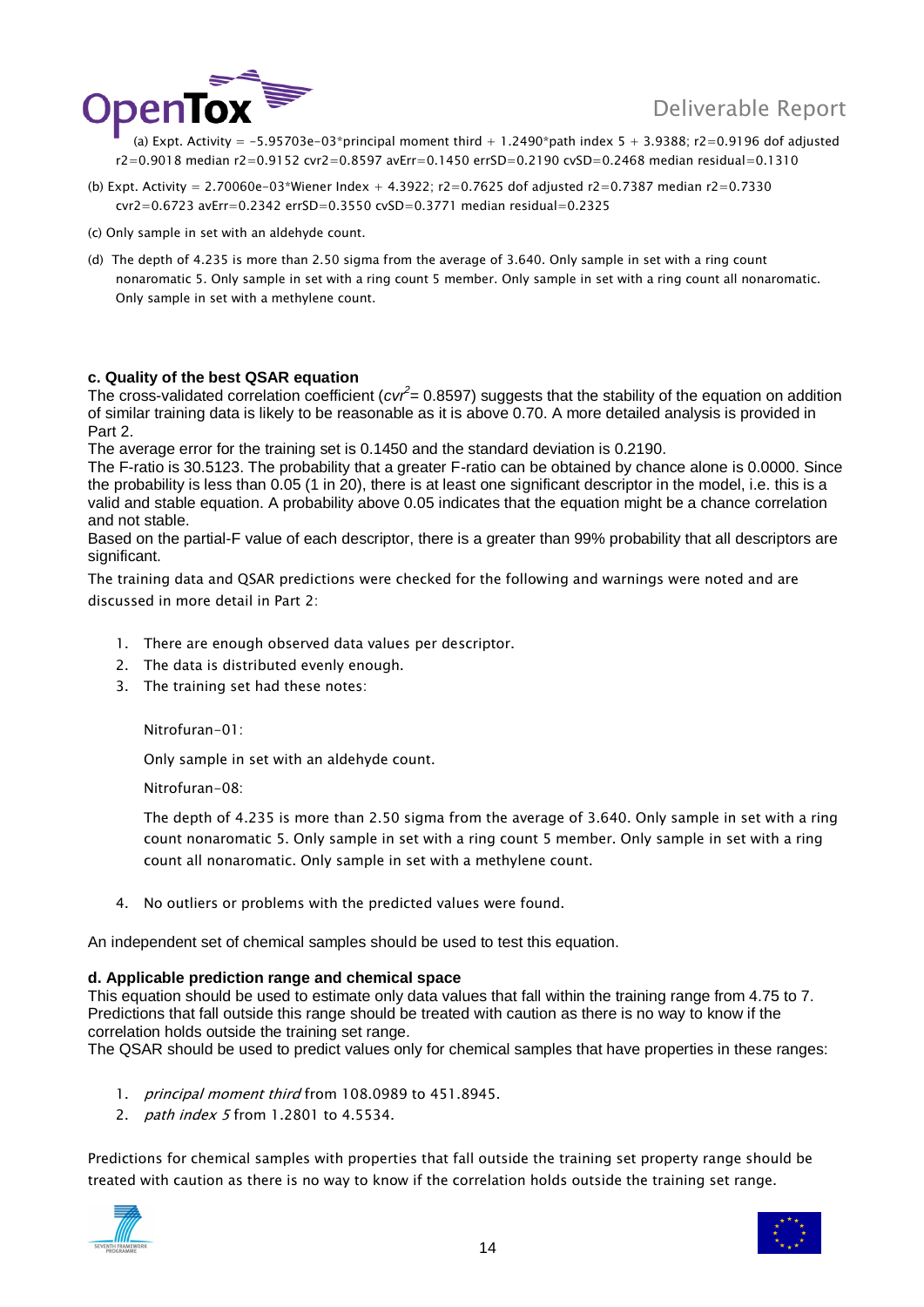

(a) Expt. Activity =  $-5.95703e-03*$ principal moment third + 1.2490\*path index 5 + 3.9388; r2=0.9196 dof adjusted r2=0.9018 median r2=0.9152 cvr2=0.8597 avErr=0.1450 errSD=0.2190 cvSD=0.2468 median residual=0.1310

- (b) Expt. Activity = 2.70060e-03\*Wiener Index + 4.3922; r2=0.7625 dof adjusted r2=0.7387 median r2=0.7330  $cvz = 0.6723$  avErr=0.2342 errSD=0.3550  $cvSD = 0.3771$  median residual=0.2325
- (c) Only sample in set with an aldehyde count.
- (d) The depth of 4.235 is more than 2.50 sigma from the average of 3.640. Only sample in set with a ring count nonaromatic 5. Only sample in set with a ring count 5 member. Only sample in set with a ring count all nonaromatic. Only sample in set with a methylene count.

### **c. Quality of the best QSAR equation**

The cross-validated correlation coefficient (*cvr<sup>2</sup>* = 0.8597) suggests that the stability of the equation on addition of similar training data is likely to be reasonable as it is above 0.70. A more detailed analysis is provided in Part 2.

The average error for the training set is 0.1450 and the standard deviation is 0.2190.

The F-ratio is 30.5123. The probability that a greater F-ratio can be obtained by chance alone is 0.0000. Since the probability is less than 0.05 (1 in 20), there is at least one significant descriptor in the model, i.e. this is a valid and stable equation. A probability above 0.05 indicates that the equation might be a chance correlation and not stable.

Based on the partial-F value of each descriptor, there is a greater than 99% probability that all descriptors are significant.

The training data and QSAR predictions were checked for the following and warnings were noted and are discussed in more detail in Part 2:

- 1. There are enough observed data values per descriptor.
- 2. The data is distributed evenly enough.
- 3. The training set had these notes:

Nitrofuran-01:

Only sample in set with an aldehyde count.

Nitrofuran-08:

The depth of 4.235 is more than 2.50 sigma from the average of 3.640. Only sample in set with a ring count nonaromatic 5. Only sample in set with a ring count 5 member. Only sample in set with a ring count all nonaromatic. Only sample in set with a methylene count.

4. No outliers or problems with the predicted values were found.

An independent set of chemical samples should be used to test this equation.

### **d. Applicable prediction range and chemical space**

This equation should be used to estimate only data values that fall within the training range from 4.75 to 7. Predictions that fall outside this range should be treated with caution as there is no way to know if the correlation holds outside the training set range.

The QSAR should be used to predict values only for chemical samples that have properties in these ranges:

- 1. *principal moment third* from 108.0989 to 451.8945.
- 2. *path index 5* from 1.2801 to 4.5534.

Predictions for chemical samples with properties that fall outside the training set property range should be treated with caution as there is no way to know if the correlation holds outside the training set range.



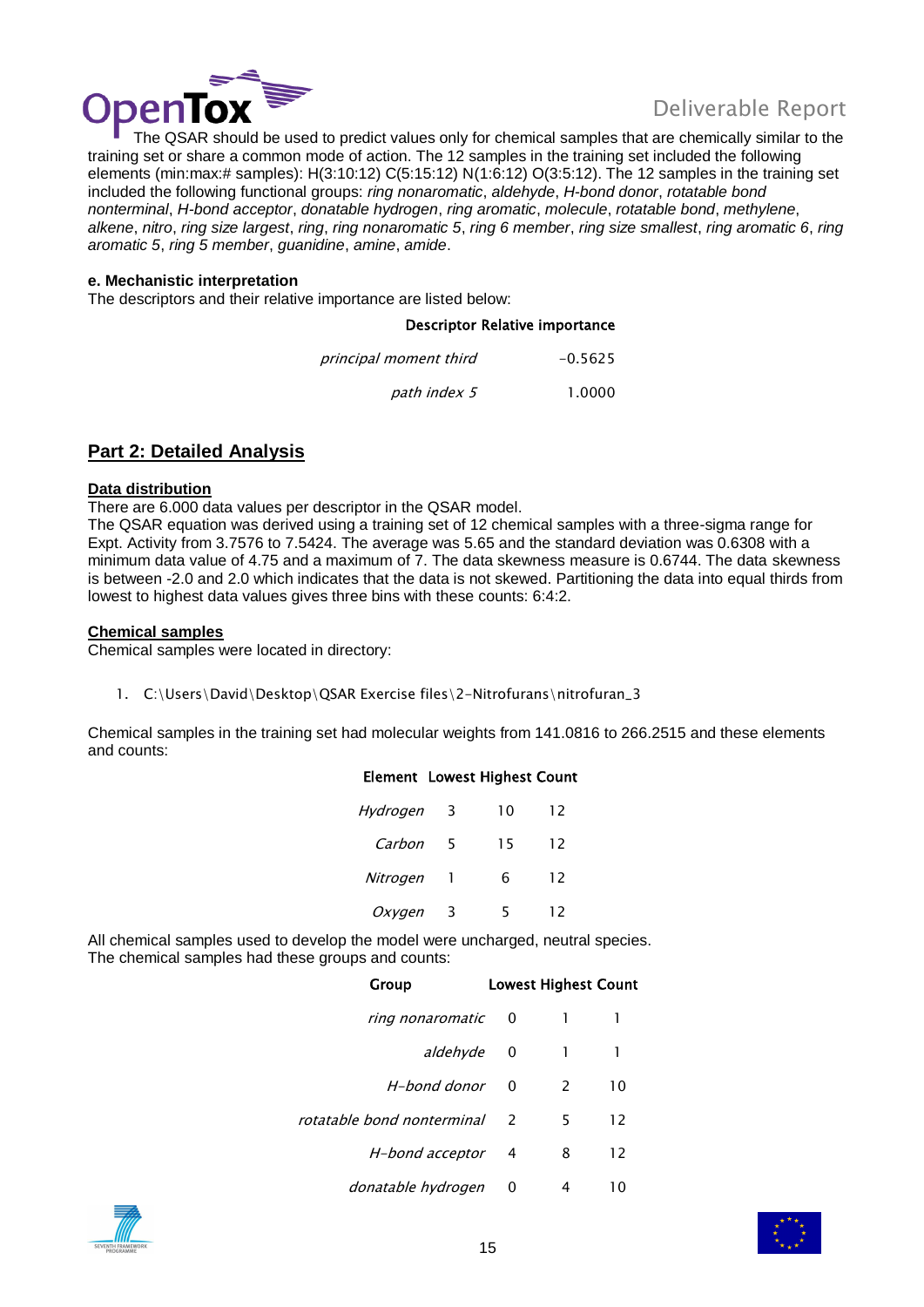



Deliverable Report<br>The QSAR should be used to predict values only for chemical samples that are chemically similar to the training set or share a common mode of action. The 12 samples in the training set included the following elements (min:max:# samples): H(3:10:12) C(5:15:12) N(1:6:12) O(3:5:12). The 12 samples in the training set included the following functional groups: *ring nonaromatic*, *aldehyde*, *H-bond donor*, *rotatable bond nonterminal*, *H-bond acceptor*, *donatable hydrogen*, *ring aromatic*, *molecule*, *rotatable bond*, *methylene*, *alkene*, *nitro*, *ring size largest*, *ring*, *ring nonaromatic 5*, *ring 6 member*, *ring size smallest*, *ring aromatic 6*, *ring aromatic 5*, *ring 5 member*, *guanidine*, *amine*, *amide*.

### **e. Mechanistic interpretation**

The descriptors and their relative importance are listed below:

### Descriptor Relative importance

| principal moment third | $-0.5625$ |
|------------------------|-----------|
| path index 5           | 1.0000    |

### **Part 2: Detailed Analysis**

### **Data distribution**

There are 6.000 data values per descriptor in the QSAR model.

The QSAR equation was derived using a training set of 12 chemical samples with a three-sigma range for Expt. Activity from 3.7576 to 7.5424. The average was 5.65 and the standard deviation was 0.6308 with a minimum data value of 4.75 and a maximum of 7. The data skewness measure is 0.6744. The data skewness is between -2.0 and 2.0 which indicates that the data is not skewed. Partitioning the data into equal thirds from lowest to highest data values gives three bins with these counts: 6:4:2.

### **Chemical samples**

Chemical samples were located in directory:

1. C:\Users\David\Desktop\QSAR Exercise files\2-Nitrofurans\nitrofuran\_3

Chemical samples in the training set had molecular weights from 141.0816 to 266.2515 and these elements and counts:

### Element Lowest Highest Count

| Hydrogen | 3 | 10 | 12 |
|----------|---|----|----|
| Carbon   | 5 | 15 | 12 |
| Nitrogen | H | 6  | 12 |
| Oxygen   | 3 | 5  | 12 |

All chemical samples used to develop the model were uncharged, neutral species. The chemical samples had these groups and counts:

| Group                      |          | <b>Lowest Highest Count</b> |    |
|----------------------------|----------|-----------------------------|----|
| ring nonaromatic           | 0        |                             |    |
| aldehyde                   | 0        | 1                           |    |
| H-bond donor               | $\Omega$ | 2                           | 10 |
| rotatable bond nonterminal |          | 5                           | 12 |
| H-bond acceptor            | -4       | 8                           | 12 |
| donatable hydrogen         | 0        | 4                           | 10 |



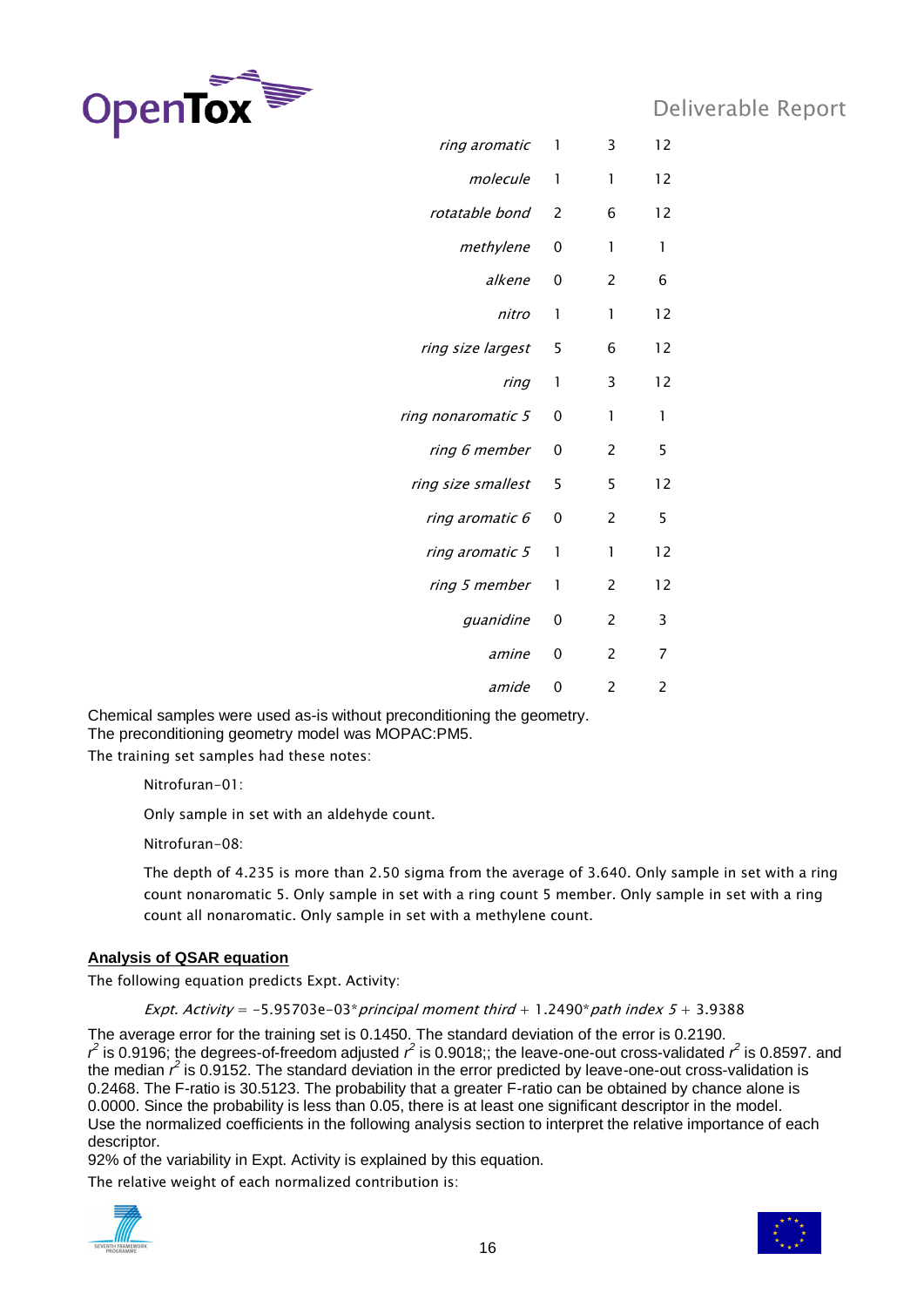

| ring aromatic      | 1        | 3                        | 12             |
|--------------------|----------|--------------------------|----------------|
| molecule           | 1        | 1                        | 12             |
| rotatable bond     | 2        | 6                        | 12             |
| methylene          | 0        | 1                        | 1              |
| alkene             | 0        | 2                        | 6              |
| nitro              | 1        | 1                        | 12             |
| ring size largest  | 5        | 6                        | 12             |
| ring               | 1        | 3                        | 12             |
| ring nonaromatic 5 | 0        | 1                        | 1              |
| ring 6 member      | 0        | 2                        | 5              |
| ring size smallest | 5        | 5                        | 12             |
| ring aromatic 6    | 0        | 2                        | 5              |
| ring aromatic 5    | 1        | 1                        | 12             |
| ring 5 member      | 1        | $\overline{2}$           | 12             |
| guanidine          | 0        | $\overline{2}$           | 3              |
| amine              | 0        | 2                        | 7              |
| amide              | $\Omega$ | $\overline{\phantom{a}}$ | $\overline{c}$ |
|                    |          |                          |                |

Chemical samples were used as-is without preconditioning the geometry. The preconditioning geometry model was MOPAC:PM5.

The training set samples had these notes:

Nitrofuran-01:

Only sample in set with an aldehyde count.

Nitrofuran-08:

The depth of 4.235 is more than 2.50 sigma from the average of 3.640. Only sample in set with a ring count nonaromatic 5. Only sample in set with a ring count 5 member. Only sample in set with a ring count all nonaromatic. Only sample in set with a methylene count.

### **Analysis of QSAR equation**

The following equation predicts Expt. Activity:

Expt. Activity =  $-5.95703e-03$ \* principal moment third + 1.2490\* path index  $5 + 3.9388$ 

The average error for the training set is 0.1450. The standard deviation of the error is 0.2190.  $r^2$  is 0.9196; the degrees-of-freedom adjusted  $r^2$  is 0.9018;; the leave-one-out cross-validated  $r^2$  is 0.8597. and the median  $r^2$  is 0.9152. The standard deviation in the error predicted by leave-one-out cross-validation is 0.2468. The F-ratio is 30.5123. The probability that a greater F-ratio can be obtained by chance alone is 0.0000. Since the probability is less than 0.05, there is at least one significant descriptor in the model. Use the normalized coefficients in the following analysis section to interpret the relative importance of each descriptor.

92% of the variability in Expt. Activity is explained by this equation.

The relative weight of each normalized contribution is:



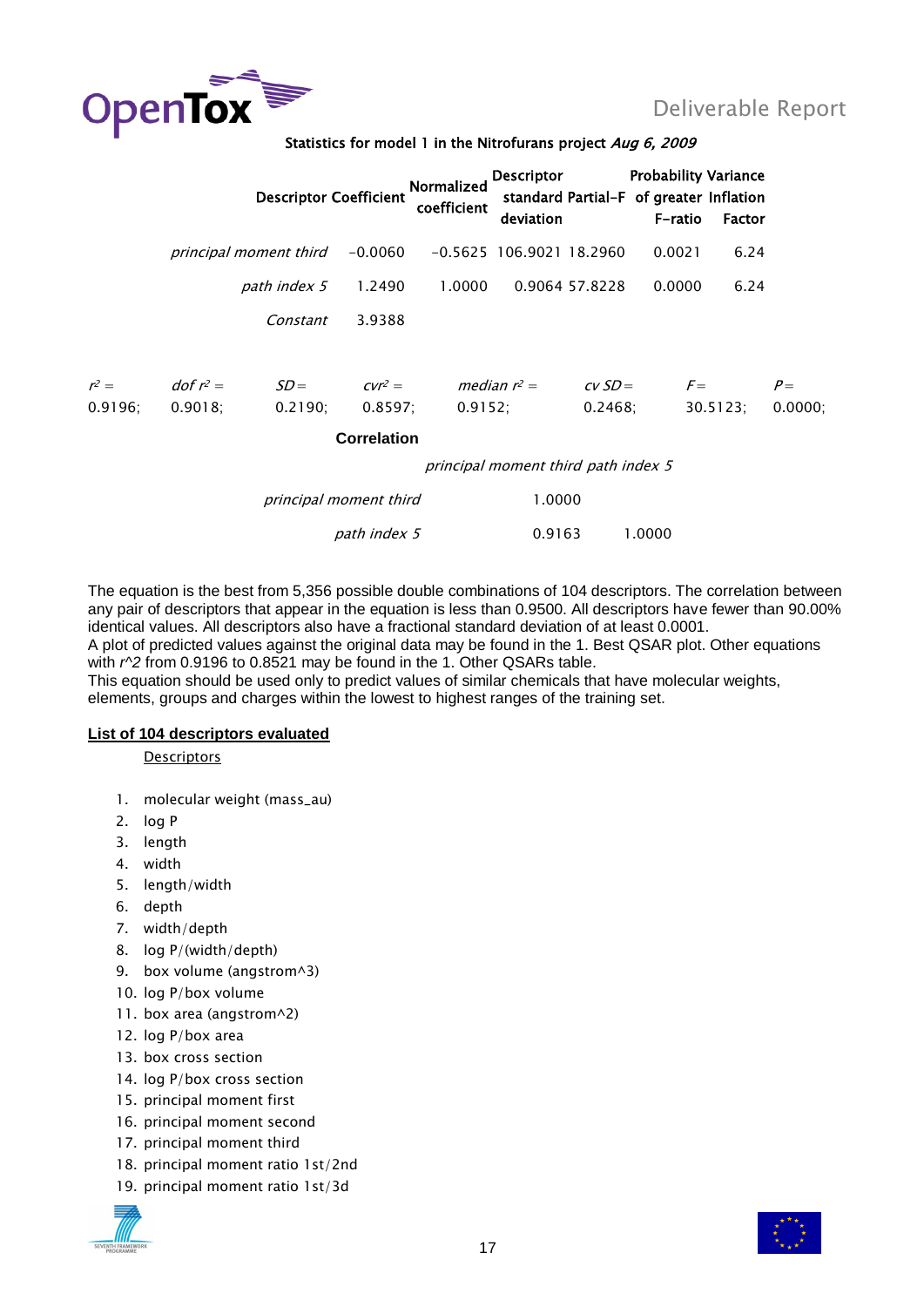

|                    |                           |                        | <b>Descriptor Coefficient</b> | <b>Normalized</b><br>coefficient     | <b>Descriptor</b><br>deviation      |                     | <b>Probability Variance</b><br>standard Partial-F of greater Inflation<br>F-ratio | Factor   |                 |
|--------------------|---------------------------|------------------------|-------------------------------|--------------------------------------|-------------------------------------|---------------------|-----------------------------------------------------------------------------------|----------|-----------------|
|                    |                           | principal moment third |                               | $-0.0060$ $-0.5625$ 106.9021 18.2960 |                                     |                     | 0.0021                                                                            | 6.24     |                 |
|                    |                           | path index 5           | 1.2490                        | 1.0000                               |                                     | 0.9064 57.8228      | 0.0000                                                                            | 6.24     |                 |
|                    |                           | Constant               | 3.9388                        |                                      |                                     |                     |                                                                                   |          |                 |
| $r^2 =$<br>0.9196: | $dof r^2 =$<br>$0.9018$ ; | $SD =$<br>0.2190:      | 0.8597;                       | $Cvr^2 =$ median $r^2 =$<br>0.9152:  |                                     | $CVSD =$<br>0.2468; | $F=$                                                                              | 30.5123; | $P=$<br>0.0000; |
|                    |                           |                        | <b>Correlation</b>            |                                      |                                     |                     |                                                                                   |          |                 |
|                    |                           |                        |                               |                                      | principal moment third path index 5 |                     |                                                                                   |          |                 |
|                    |                           |                        | principal moment third        |                                      | 1.0000                              |                     |                                                                                   |          |                 |
|                    |                           |                        | path index 5                  |                                      | 0.9163                              |                     | 1.0000                                                                            |          |                 |

The equation is the best from 5,356 possible double combinations of 104 descriptors. The correlation between any pair of descriptors that appear in the equation is less than 0.9500. All descriptors have fewer than 90.00% identical values. All descriptors also have a fractional standard deviation of at least 0.0001.

A plot of predicted values against the original data may be found in the 1. Best QSAR plot. Other equations with *r^2* from 0.9196 to 0.8521 may be found in the 1. Other QSARs table.

This equation should be used only to predict values of similar chemicals that have molecular weights, elements, groups and charges within the lowest to highest ranges of the training set.

### **List of 104 descriptors evaluated**

**Descriptors** 

- 1. molecular weight (mass\_au)
- 2. log P
- 3. length
- 4. width
- 5. length/width
- 6. depth
- 7. width/depth
- 8. log P/(width/depth)
- 9. box volume (angstrom^3)
- 10. log P/box volume
- 11. box area (angstrom^2)
- 12. log P/box area
- 13. box cross section
- 14. log P/box cross section
- 15. principal moment first
- 16. principal moment second
- 17. principal moment third
- 18. principal moment ratio 1st/2nd
- 19. principal moment ratio 1st/3d



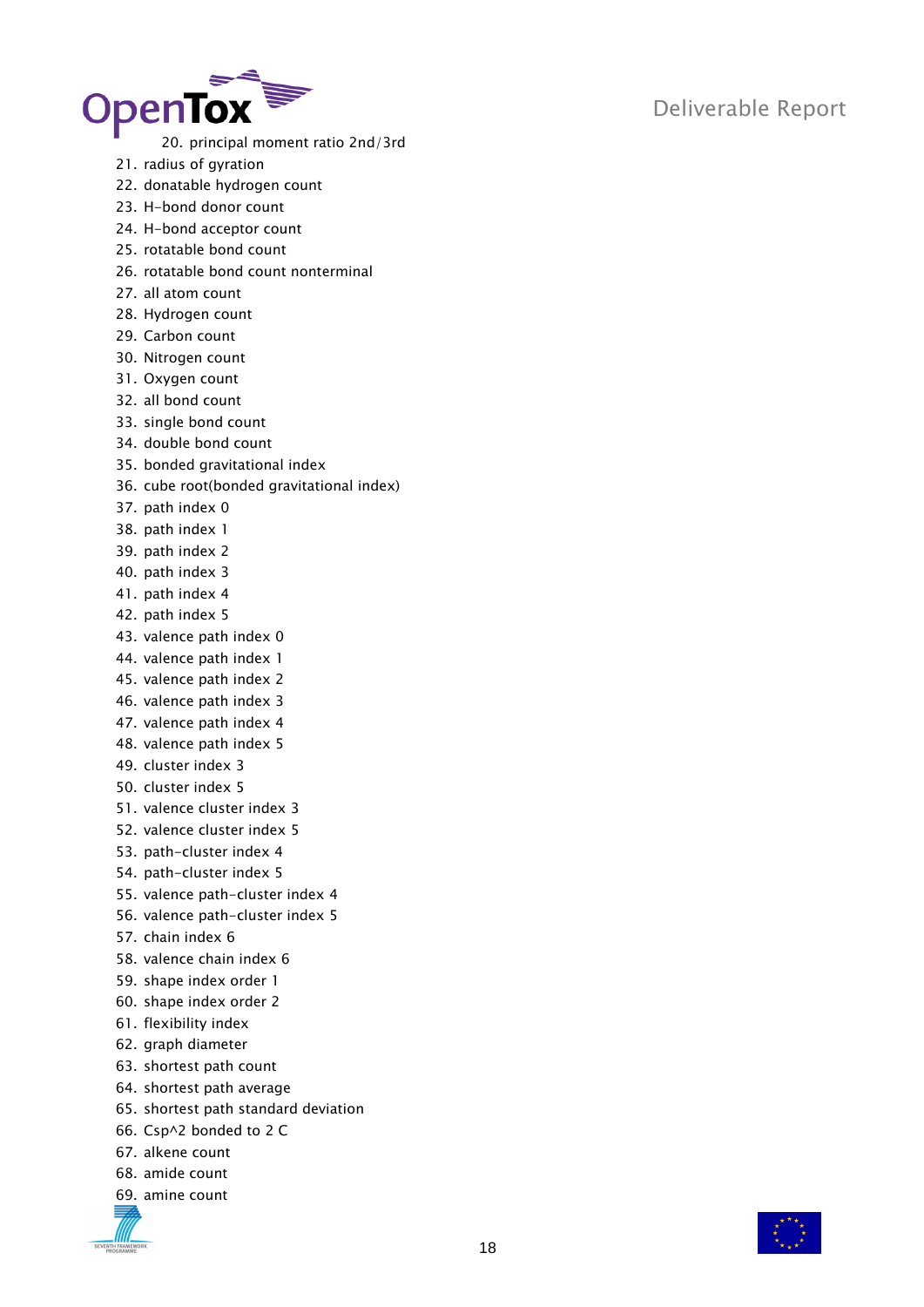

20. principal moment ratio 2nd/3rd

- 21. radius of gyration
- 22. donatable hydrogen count
- 23. H-bond donor count
- 24. H-bond acceptor count
- 25. rotatable bond count
- 26. rotatable bond count nonterminal
- 27. all atom count
- 28. Hydrogen count
- 29. Carbon count
- 30. Nitrogen count
- 31. Oxygen count
- 32. all bond count
- 33. single bond count
- 34. double bond count
- 35. bonded gravitational index
- 36. cube root(bonded gravitational index)
- 37. path index 0
- 38. path index 1
- 39. path index 2
- 40. path index 3
- 41. path index 4
- 42. path index 5
- 43. valence path index 0
- 44. valence path index 1
- 45. valence path index 2
- 46. valence path index 3
- 47. valence path index 4
- 48. valence path index 5
- 49. cluster index 3
- 50. cluster index 5
- 51. valence cluster index 3
- 52. valence cluster index 5
- 53. path-cluster index 4
- 54. path-cluster index 5
- 55. valence path-cluster index 4
- 56. valence path-cluster index 5
- 57. chain index 6
- 58. valence chain index 6
- 59. shape index order 1
- 60. shape index order 2
- 61. flexibility index
- 62. graph diameter
- 63. shortest path count
- 64. shortest path average
- 65. shortest path standard deviation
- 66. Csp^2 bonded to 2 C
- 67. alkene count
- 68. amide count
- 69. amine count

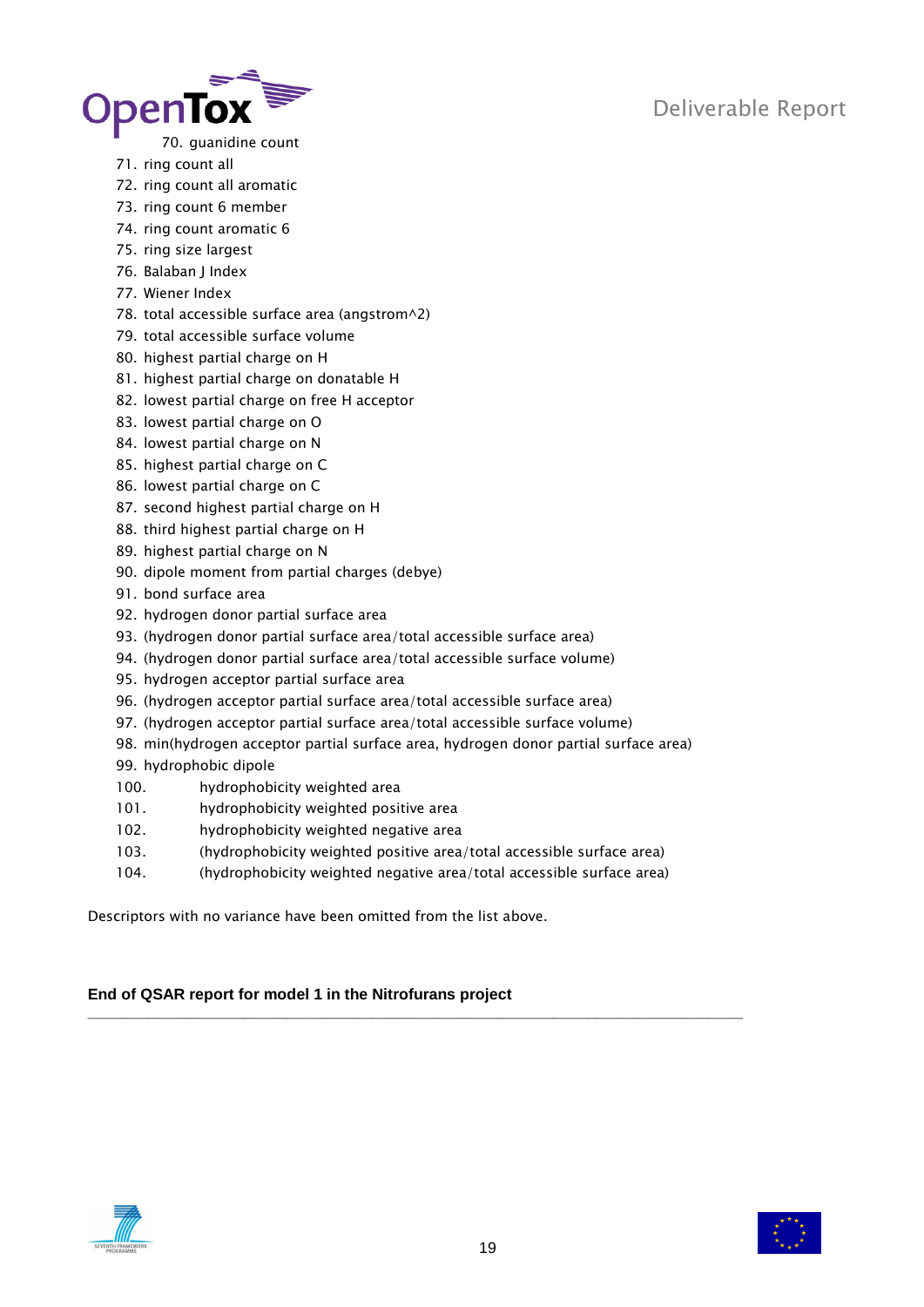

- 70. guanidine count
- 71. ring count all
- 72. ring count all aromatic
- 73. ring count 6 member
- 74. ring count aromatic 6
- 75. ring size largest
- 76. Balaban J Index
- 77. Wiener Index
- 78. total accessible surface area (angstrom^2)
- 79. total accessible surface volume
- 80. highest partial charge on H
- 81. highest partial charge on donatable H
- 82. lowest partial charge on free H acceptor
- 83. lowest partial charge on O
- 84. lowest partial charge on N
- 85. highest partial charge on C
- 86. lowest partial charge on C
- 87. second highest partial charge on H
- 88. third highest partial charge on H
- 89. highest partial charge on N
- 90. dipole moment from partial charges (debye)
- 91. bond surface area
- 92. hydrogen donor partial surface area
- 93. (hydrogen donor partial surface area/total accessible surface area)
- 94. (hydrogen donor partial surface area/total accessible surface volume)
- 95. hydrogen acceptor partial surface area
- 96. (hydrogen acceptor partial surface area/total accessible surface area)
- 97. (hydrogen acceptor partial surface area/total accessible surface volume)
- 98. min(hydrogen acceptor partial surface area, hydrogen donor partial surface area)
- 99. hydrophobic dipole
- 100. hydrophobicity weighted area
- 101. hydrophobicity weighted positive area
- 102. hydrophobicity weighted negative area
- 103. (hydrophobicity weighted positive area/total accessible surface area)
- 104. (hydrophobicity weighted negative area/total accessible surface area)

Descriptors with no variance have been omitted from the list above.

### **End of QSAR report for model 1 in the Nitrofurans project \_\_\_\_\_\_\_\_\_\_\_\_\_\_\_\_\_\_\_\_\_\_\_\_\_\_\_\_\_\_\_\_\_\_\_\_\_\_\_\_\_\_\_\_\_\_\_\_\_\_\_\_\_\_\_\_\_\_\_\_\_\_\_\_\_\_\_\_\_\_\_\_\_\_\_\_**



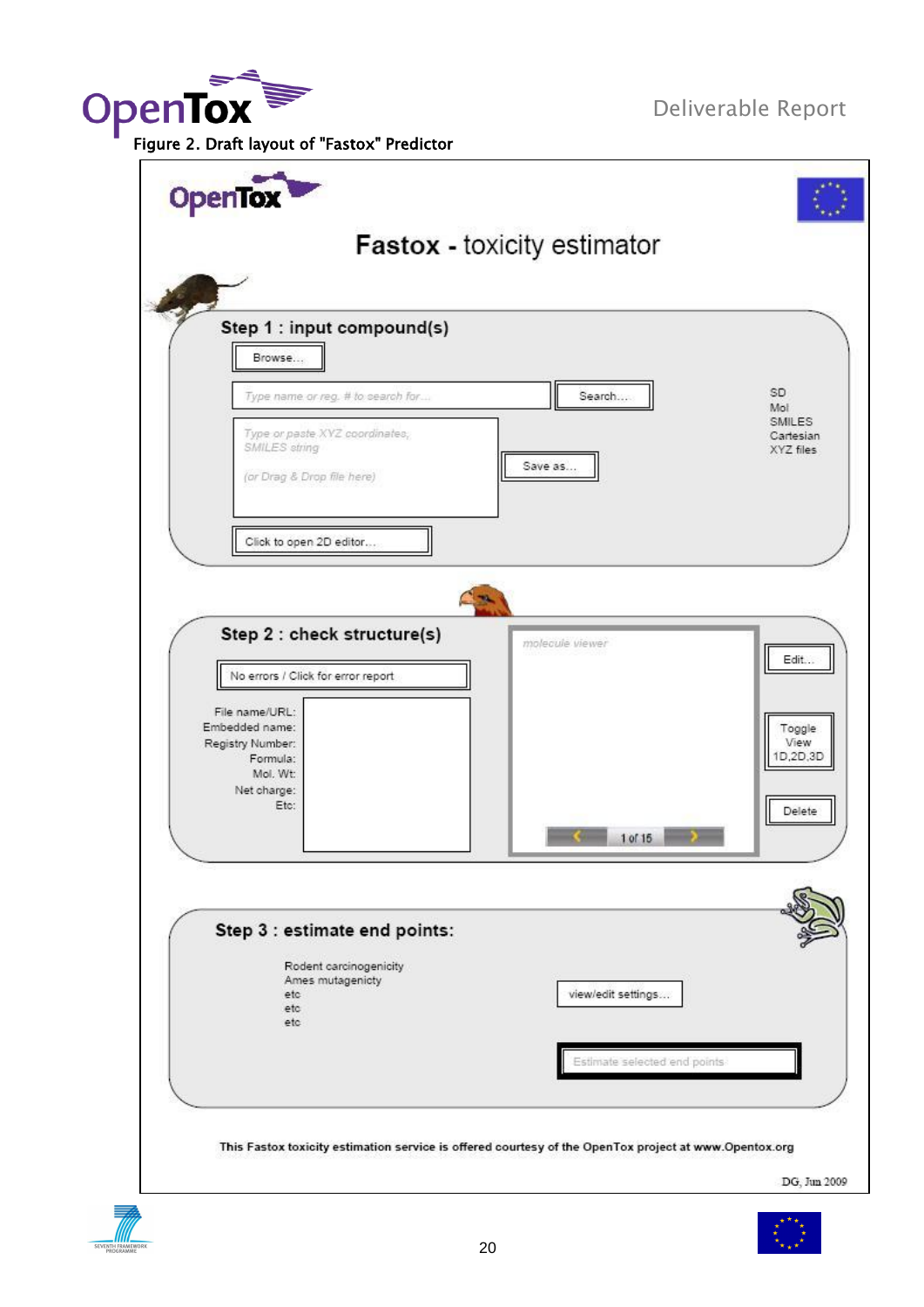**OpenTox**<br>Figure 2. Draft layout of "Fastox" Predictor

Deliverable Report

| <b>OpenTox</b>                                                                                        |                              |                                         |
|-------------------------------------------------------------------------------------------------------|------------------------------|-----------------------------------------|
|                                                                                                       | Fastox - toxicity estimator  |                                         |
|                                                                                                       |                              |                                         |
| Step 1 : input compound(s)<br>Browse                                                                  |                              |                                         |
| Type name or reg. # to search for                                                                     | Search                       | SD.                                     |
| Type or paste XVZ coordinates,<br>SMILES string                                                       |                              | Mol<br>SMILES<br>Cartesian<br>XYZ files |
| (or Drag & Drop file here)                                                                            | Save as                      |                                         |
| Click to open 2D editor                                                                               |                              |                                         |
|                                                                                                       |                              |                                         |
|                                                                                                       |                              |                                         |
| Step 2 : check structure(s)<br>No errors / Click for error report                                     | molecule viewer              | Edit                                    |
| File name/URL:                                                                                        |                              |                                         |
| Embedded name:<br>Registry Number:<br>Formula:                                                        |                              | Toggle<br>View<br>1D.2D.3D              |
| Mol. Wt:<br>Net charge:<br>Etc:                                                                       |                              | Delete                                  |
|                                                                                                       | 1 of 15                      |                                         |
|                                                                                                       |                              |                                         |
| Step 3 : estimate end points:                                                                         |                              |                                         |
| Rodent carcinogenicity<br>Ames mutagenicty<br>etc                                                     | view/edit settings           |                                         |
| etc<br>etc                                                                                            |                              |                                         |
|                                                                                                       | Estimate selected end points |                                         |
|                                                                                                       |                              |                                         |
| This Fastox toxicity estimation service is offered courtesy of the OpenTox project at www.Opentox.org |                              |                                         |
|                                                                                                       |                              | DG, Jun 2009                            |

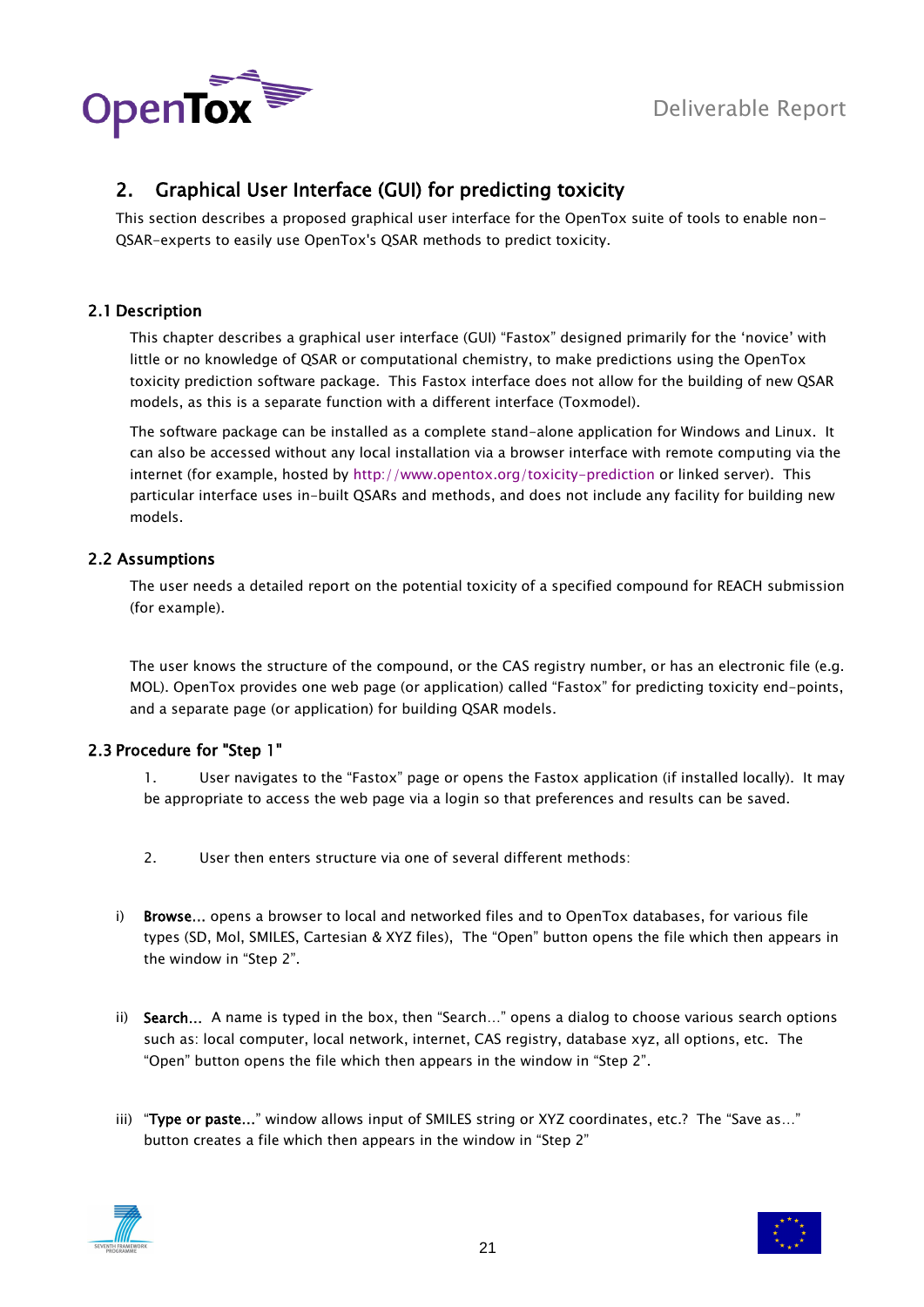



### <span id="page-20-0"></span>2. Graphical User Interface (GUI) for predicting toxicity

This section describes a proposed graphical user interface for the OpenTox suite of tools to enable non-QSAR-experts to easily use OpenTox's QSAR methods to predict toxicity.

### <span id="page-20-1"></span>2.1 Description

This chapter describes a graphical user interface (GUI) "Fastox" designed primarily for the "novice" with little or no knowledge of QSAR or computational chemistry, to make predictions using the OpenTox toxicity prediction software package. This Fastox interface does not allow for the building of new QSAR models, as this is a separate function with a different interface (Toxmodel).

The software package can be installed as a complete stand-alone application for Windows and Linux. It can also be accessed without any local installation via a browser interface with remote computing via the internet (for example, hosted by<http://www.opentox.org/toxicity-prediction> or linked server). This particular interface uses in-built QSARs and methods, and does not include any facility for building new models.

### <span id="page-20-2"></span>2.2 Assumptions

The user needs a detailed report on the potential toxicity of a specified compound for REACH submission (for example).

The user knows the structure of the compound, or the CAS registry number, or has an electronic file (e.g. MOL). OpenTox provides one web page (or application) called "Fastox" for predicting toxicity end-points, and a separate page (or application) for building QSAR models.

### <span id="page-20-3"></span>2.3 Procedure for "Step 1"

1. User navigates to the "Fastox" page or opens the Fastox application (if installed locally). It may be appropriate to access the web page via a login so that preferences and results can be saved.

- 2. User then enters structure via one of several different methods:
- i) Browse... opens a browser to local and networked files and to OpenTox databases, for various file types (SD, Mol, SMILES, Cartesian & XYZ files), The "Open" button opens the file which then appears in the window in "Step 2".
- ii) Search... A name is typed in the box, then "Search..." opens a dialog to choose various search options such as: local computer, local network, internet, CAS registry, database xyz, all options, etc. The "Open" button opens the file which then appears in the window in "Step 2".
- iii) "Type or paste..." window allows input of SMILES string or XYZ coordinates, etc.? The "Save as..." button creates a file which then appears in the window in "Step 2"



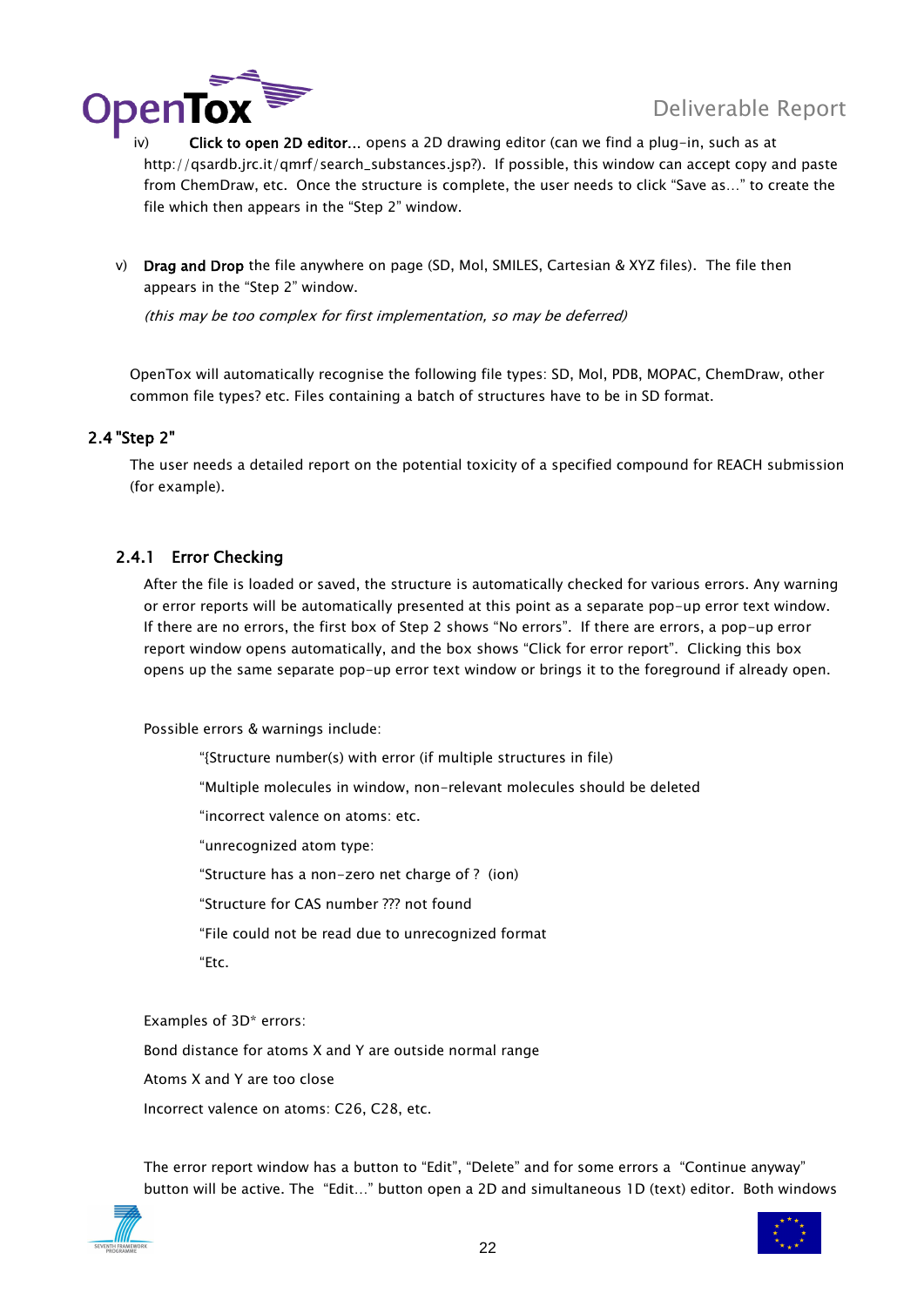

- iv) Click to open 2D editor... opens a 2D drawing editor (can we find a plug-in, such as at http://gsardb.jrc.it/gmrf/search\_substances.jsp?). If possible, this window can accept copy and paste from ChemDraw, etc. Once the structure is complete, the user needs to click "Save as…" to create the file which then appears in the "Step 2" window.
- v) Drag and Drop the file anywhere on page (SD, Mol, SMILES, Cartesian & XYZ files). The file then appears in the "Step 2" window.

(this may be too complex for first implementation, so may be deferred)

OpenTox will automatically recognise the following file types: SD, Mol, PDB, MOPAC, ChemDraw, other common file types? etc. Files containing a batch of structures have to be in SD format.

### <span id="page-21-0"></span>2.4 "Step 2"

The user needs a detailed report on the potential toxicity of a specified compound for REACH submission (for example).

### <span id="page-21-1"></span>2.4.1 Error Checking

After the file is loaded or saved, the structure is automatically checked for various errors. Any warning or error reports will be automatically presented at this point as a separate pop-up error text window. If there are no errors, the first box of Step 2 shows "No errors". If there are errors, a pop-up error report window opens automatically, and the box shows "Click for error report". Clicking this box opens up the same separate pop-up error text window or brings it to the foreground if already open.

Possible errors & warnings include:

"{Structure number(s) with error (if multiple structures in file)

"Multiple molecules in window, non-relevant molecules should be deleted

"incorrect valence on atoms: etc.

"unrecognized atom type:

"Structure has a non-zero net charge of ? (ion)

"Structure for CAS number ??? not found

"File could not be read due to unrecognized format

"Etc.

Examples of 3D\* errors:

Bond distance for atoms X and Y are outside normal range

Atoms X and Y are too close

Incorrect valence on atoms: C26, C28, etc.

The error report window has a button to "Edit", "Delete" and for some errors a "Continue anyway" button will be active. The "Edit…" button open a 2D and simultaneous 1D (text) editor. Both windows



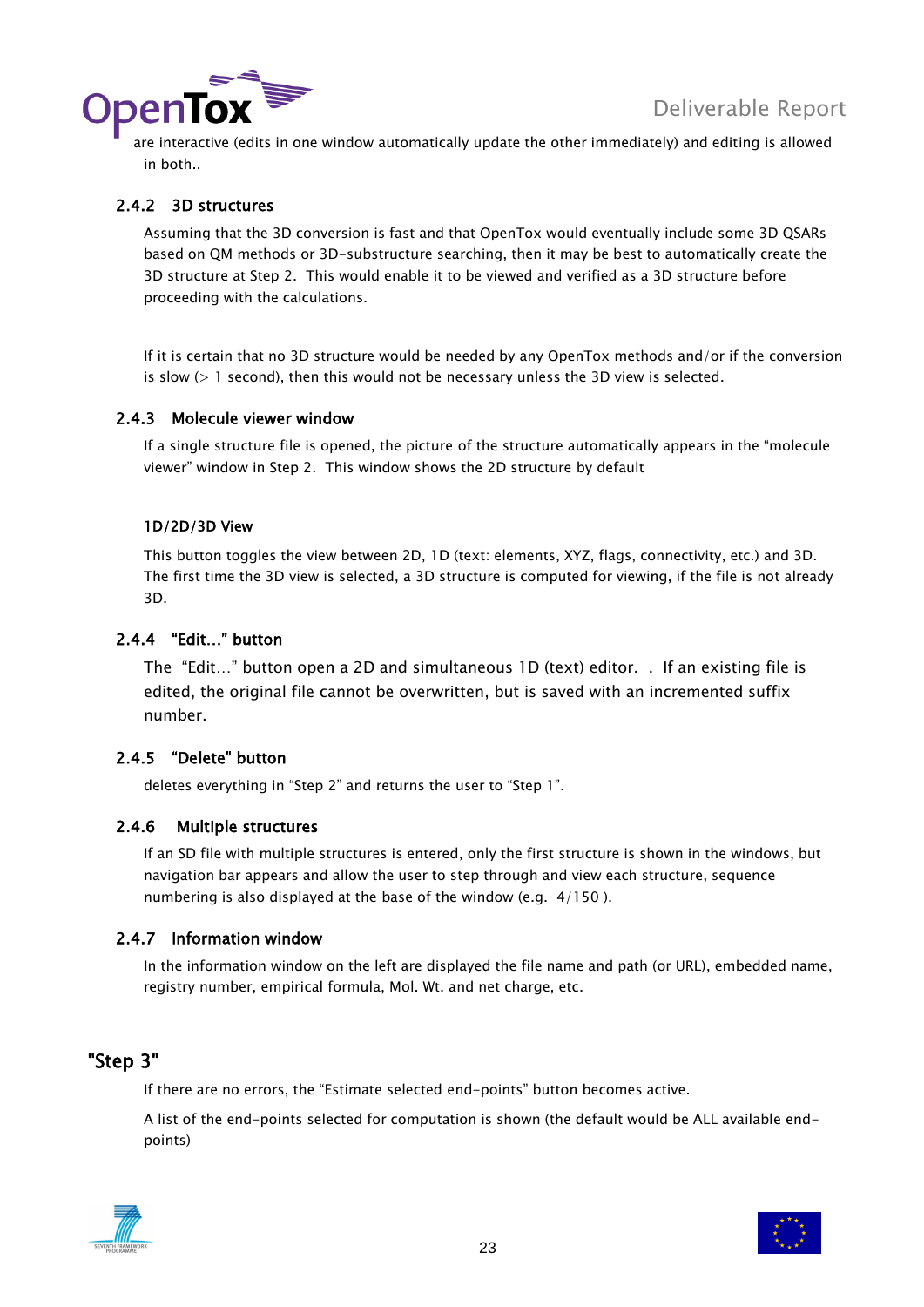

**IDENTOX** are interactive (edits in one window automatically update the other immediately) and editing is allowed in both..

### <span id="page-22-0"></span>2.4.2 3D structures

Assuming that the 3D conversion is fast and that OpenTox would eventually include some 3D QSARs based on QM methods or 3D-substructure searching, then it may be best to automatically create the 3D structure at Step 2. This would enable it to be viewed and verified as a 3D structure before proceeding with the calculations.

If it is certain that no 3D structure would be needed by any OpenTox methods and/or if the conversion is slow  $(> 1$  second), then this would not be necessary unless the 3D view is selected.

### <span id="page-22-1"></span>2.4.3 Molecule viewer window

If a single structure file is opened, the picture of the structure automatically appears in the "molecule viewer" window in Step 2. This window shows the 2D structure by default

### 1D/2D/3D View

This button toggles the view between 2D, 1D (text: elements, XYZ, flags, connectivity, etc.) and 3D. The first time the 3D view is selected, a 3D structure is computed for viewing, if the file is not already 3D.

### <span id="page-22-2"></span>2.4.4 "Edit…" button

The "Edit…" button open a 2D and simultaneous 1D (text) editor. . If an existing file is edited, the original file cannot be overwritten, but is saved with an incremented suffix number.

### <span id="page-22-3"></span>2.4.5 "Delete" button

<span id="page-22-4"></span>deletes everything in "Step 2" and returns the user to "Step 1".

### 2.4.6 Multiple structures

If an SD file with multiple structures is entered, only the first structure is shown in the windows, but navigation bar appears and allow the user to step through and view each structure, sequence numbering is also displayed at the base of the window (e.g. 4/150 ).

### <span id="page-22-5"></span>2.4.7 Information window

In the information window on the left are displayed the file name and path (or URL), embedded name, registry number, empirical formula, Mol. Wt. and net charge, etc.

### <span id="page-22-6"></span>"Step 3"

If there are no errors, the "Estimate selected end-points" button becomes active.

A list of the end-points selected for computation is shown (the default would be ALL available endpoints)



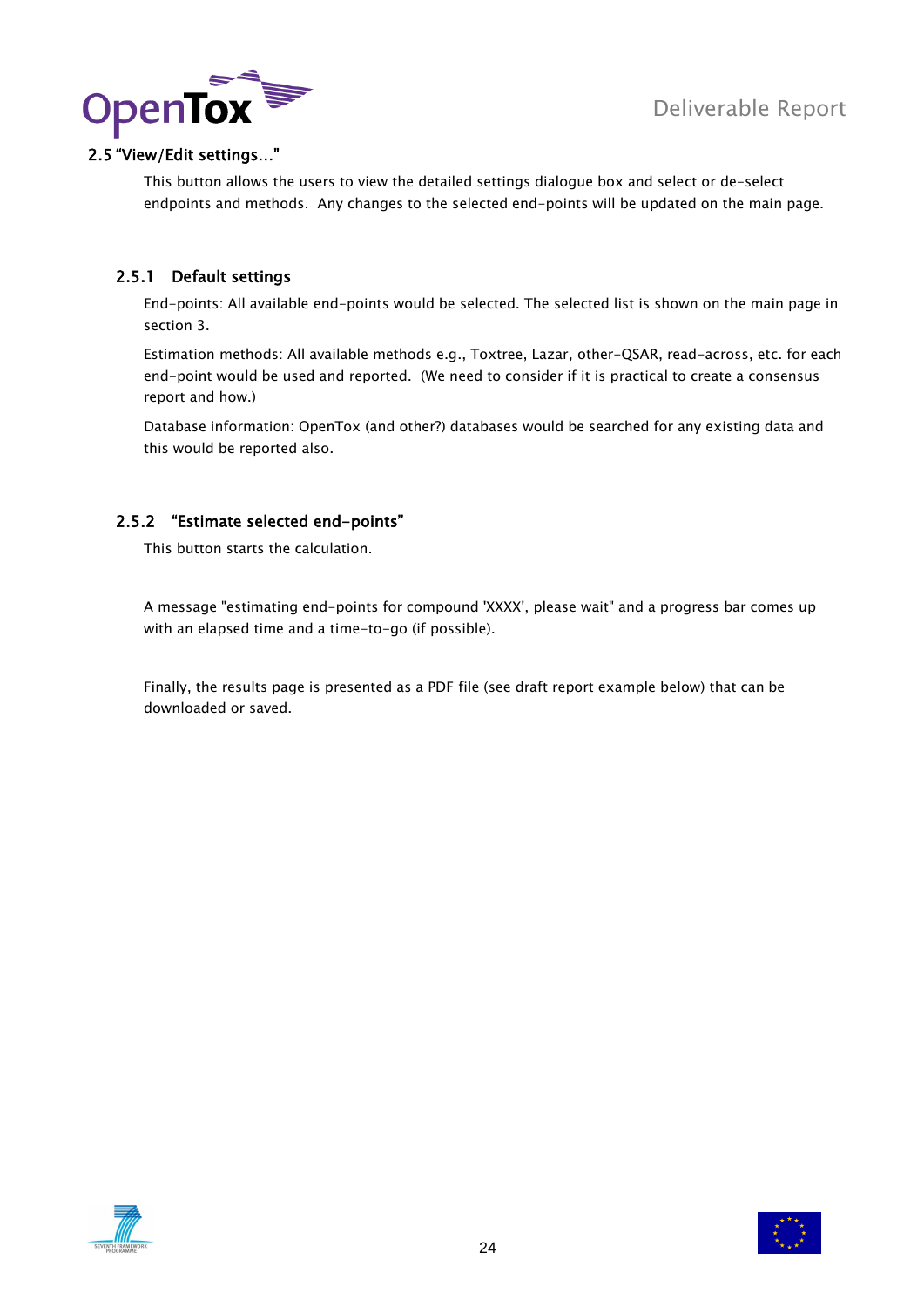

### <span id="page-23-0"></span>2.5 "View/Edit settings…"

This button allows the users to view the detailed settings dialogue box and select or de-select endpoints and methods. Any changes to the selected end-points will be updated on the main page.

### <span id="page-23-1"></span>2.5.1 Default settings

End-points: All available end-points would be selected. The selected list is shown on the main page in section 3.

Estimation methods: All available methods e.g., Toxtree, Lazar, other-QSAR, read-across, etc. for each end-point would be used and reported. (We need to consider if it is practical to create a consensus report and how.)

Database information: OpenTox (and other?) databases would be searched for any existing data and this would be reported also.

### <span id="page-23-2"></span>2.5.2 "Estimate selected end-points"

This button starts the calculation.

A message "estimating end-points for compound 'XXXX', please wait" and a progress bar comes up with an elapsed time and a time-to-go (if possible).

Finally, the results page is presented as a PDF file (see draft report example below) that can be downloaded or saved.



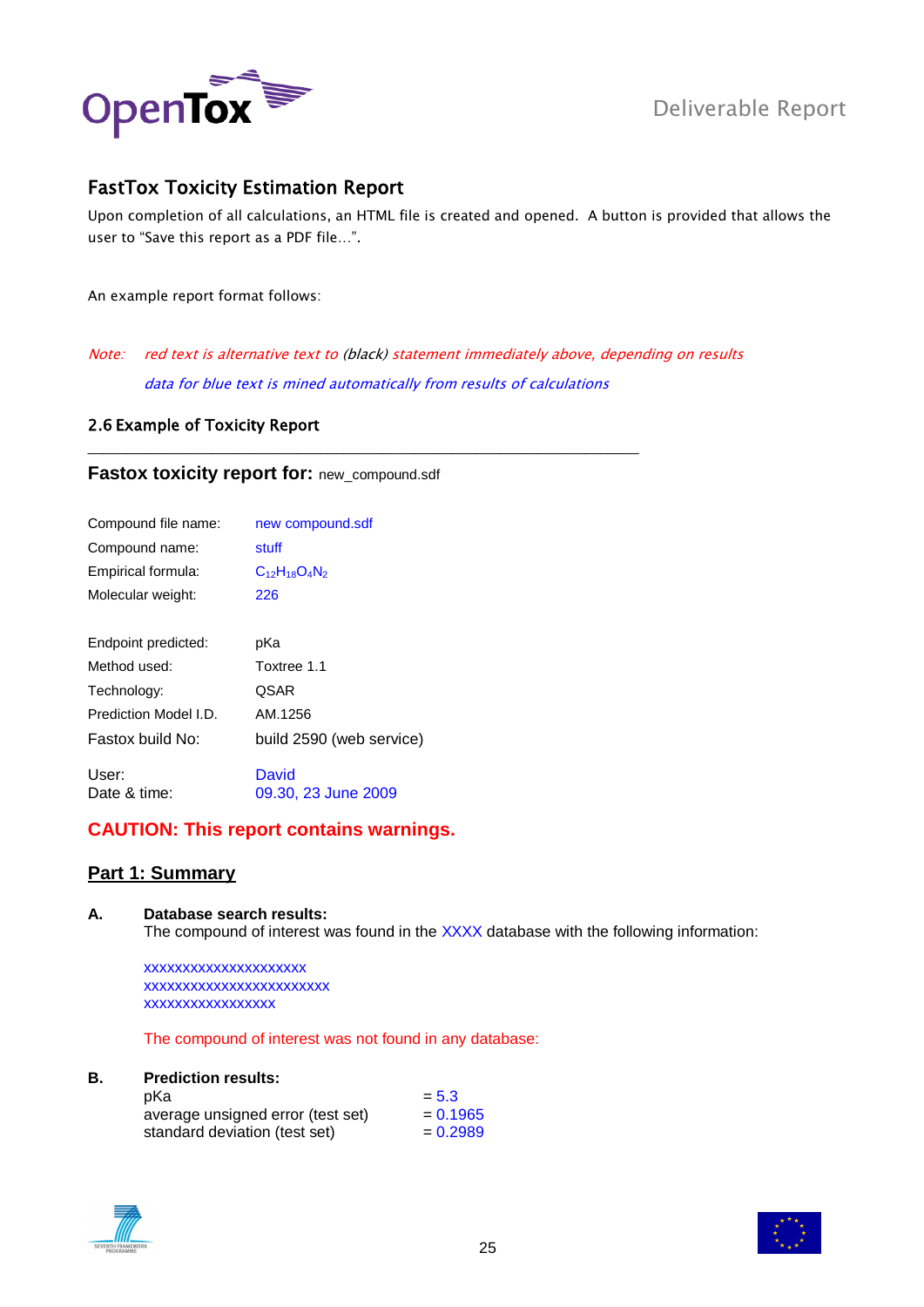

### <span id="page-24-0"></span>FastTox Toxicity Estimation Report

Upon completion of all calculations, an HTML file is created and opened. A button is provided that allows the user to "Save this report as a PDF file…".

An example report format follows:

Note: red text is alternative text to (black) statement immediately above, depending on results data for blue text is mined automatically from results of calculations

\_\_\_\_\_\_\_\_\_\_\_\_\_\_\_\_\_\_\_\_\_\_\_\_\_\_\_\_\_\_\_\_\_\_\_\_\_\_\_\_\_\_\_\_\_\_\_\_\_\_\_\_\_\_\_\_\_\_\_\_\_\_\_\_\_\_\_\_\_\_\_

### <span id="page-24-1"></span>2.6 Example of Toxicity Report

### **Fastox toxicity report for:** new\_compound.sdf

| Compound file name:   | new compound.sdf             |
|-----------------------|------------------------------|
| Compound name:        | stuff                        |
| Empirical formula:    | $C_{12}H_{18}O_4N_2$         |
| Molecular weight:     | 226                          |
|                       |                              |
| Endpoint predicted:   | pKa                          |
| Method used:          | Toxtree 1.1                  |
| Technology:           | <b>QSAR</b>                  |
| Prediction Model I.D. | AM.1256                      |
| Fastox build No:      | build 2590 (web service)     |
| User:<br>Date & time: | David<br>09.30, 23 June 2009 |

### **CAUTION: This report contains warnings.**

### **Part 1: Summary**

**A. Database search results:** The compound of interest was found in the XXXX database with the following information:

xxxxxxxxxxxxxxxxxxxxx xxxxxxxxxxxxxxxxxxxxxxxx xxxxxxxxxxxxxxxxx

The compound of interest was not found in any database:

### **B. Prediction results:**

| pKa                               | $= 5.3$    |
|-----------------------------------|------------|
| average unsigned error (test set) | $= 0.1965$ |
| standard deviation (test set)     | $= 0.2989$ |



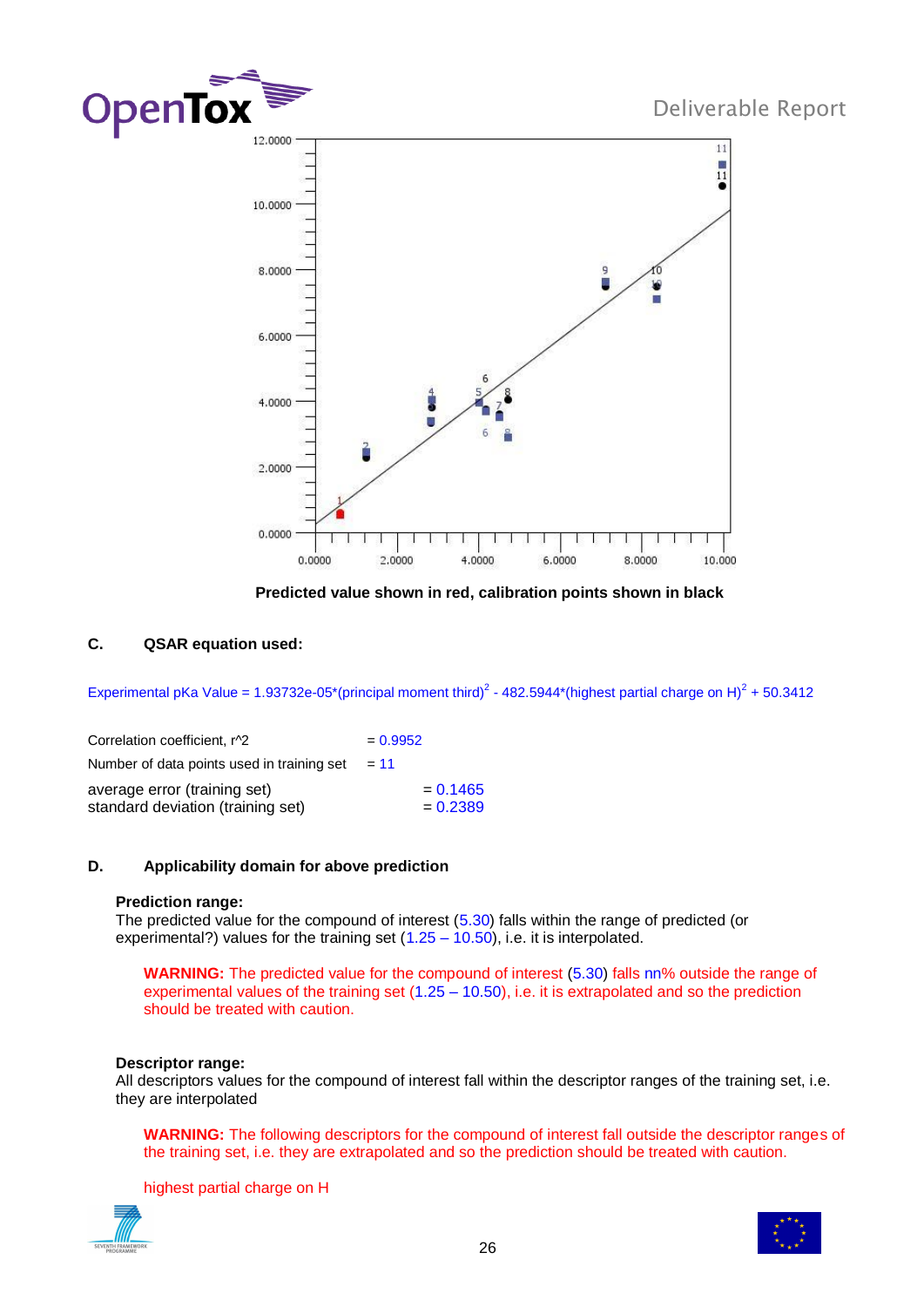

**Predicted value shown in red, calibration points shown in black**

### **C. QSAR equation used:**

Experimental pKa Value = 1.93732e-05\*(principal moment third)<sup>2</sup> - 482.5944\*(highest partial charge on H)<sup>2</sup> + 50.3412

| Correlation coefficient, r^2               | $= 0.9952$ |
|--------------------------------------------|------------|
| Number of data points used in training set | $= 11$     |
| average error (training set)               | $= 0.1465$ |
| standard deviation (training set)          | $= 0.2389$ |

### **D. Applicability domain for above prediction**

### **Prediction range:**

The predicted value for the compound of interest (5.30) falls within the range of predicted (or experimental?) values for the training set  $(1.25 - 10.50)$ , i.e. it is interpolated.

**WARNING:** The predicted value for the compound of interest (5.30) falls nn% outside the range of experimental values of the training set (1.25 – 10.50), i.e. it is extrapolated and so the prediction should be treated with caution.

### **Descriptor range:**

All descriptors values for the compound of interest fall within the descriptor ranges of the training set, i.e. they are interpolated

**WARNING:** The following descriptors for the compound of interest fall outside the descriptor ranges of the training set, i.e. they are extrapolated and so the prediction should be treated with caution.

highest partial charge on H



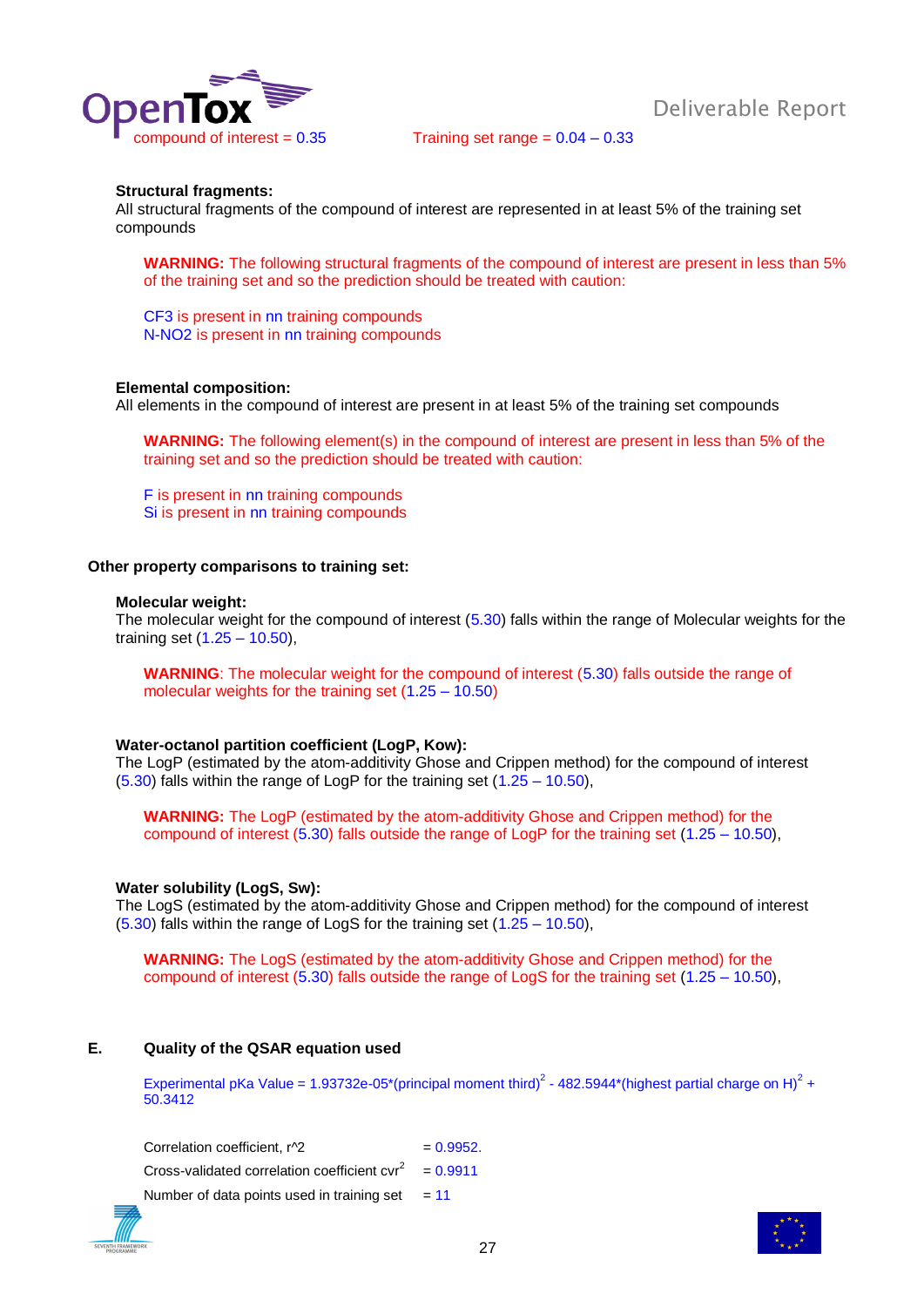

compound of interest  $= 0.35$  Training set range  $= 0.04 - 0.33$ 

### **Structural fragments:**

All structural fragments of the compound of interest are represented in at least 5% of the training set compounds

**WARNING:** The following structural fragments of the compound of interest are present in less than 5% of the training set and so the prediction should be treated with caution:

CF3 is present in nn training compounds N-NO2 is present in nn training compounds

#### **Elemental composition:**

All elements in the compound of interest are present in at least 5% of the training set compounds

**WARNING:** The following element(s) in the compound of interest are present in less than 5% of the training set and so the prediction should be treated with caution:

F is present in nn training compounds Si is present in nn training compounds

#### **Other property comparisons to training set:**

#### **Molecular weight:**

The molecular weight for the compound of interest (5.30) falls within the range of Molecular weights for the training set (1.25 – 10.50),

**WARNING**: The molecular weight for the compound of interest (5.30) falls outside the range of molecular weights for the training set (1.25 – 10.50)

### **Water-octanol partition coefficient (LogP, Kow):**

The LogP (estimated by the atom-additivity Ghose and Crippen method) for the compound of interest (5.30) falls within the range of LogP for the training set (1.25 – 10.50),

**WARNING:** The LogP (estimated by the atom-additivity Ghose and Crippen method) for the compound of interest (5.30) falls outside the range of LogP for the training set (1.25 – 10.50),

#### **Water solubility (LogS, Sw):**

The LogS (estimated by the atom-additivity Ghose and Crippen method) for the compound of interest (5.30) falls within the range of LogS for the training set (1.25 – 10.50),

**WARNING:** The LogS (estimated by the atom-additivity Ghose and Crippen method) for the compound of interest (5.30) falls outside the range of LogS for the training set (1.25 – 10.50),

### **E. Quality of the QSAR equation used**

Experimental pKa Value = 1.93732e-05\*(principal moment third)<sup>2</sup> - 482.5944\*(highest partial charge on H)<sup>2</sup> + 50.3412

Correlation coefficient,  $r^2$  = 0.9952. Cross-validated correlation coefficient cvr<sup>2</sup>  $= 0.9911$ Number of data points used in training set  $= 11$ 

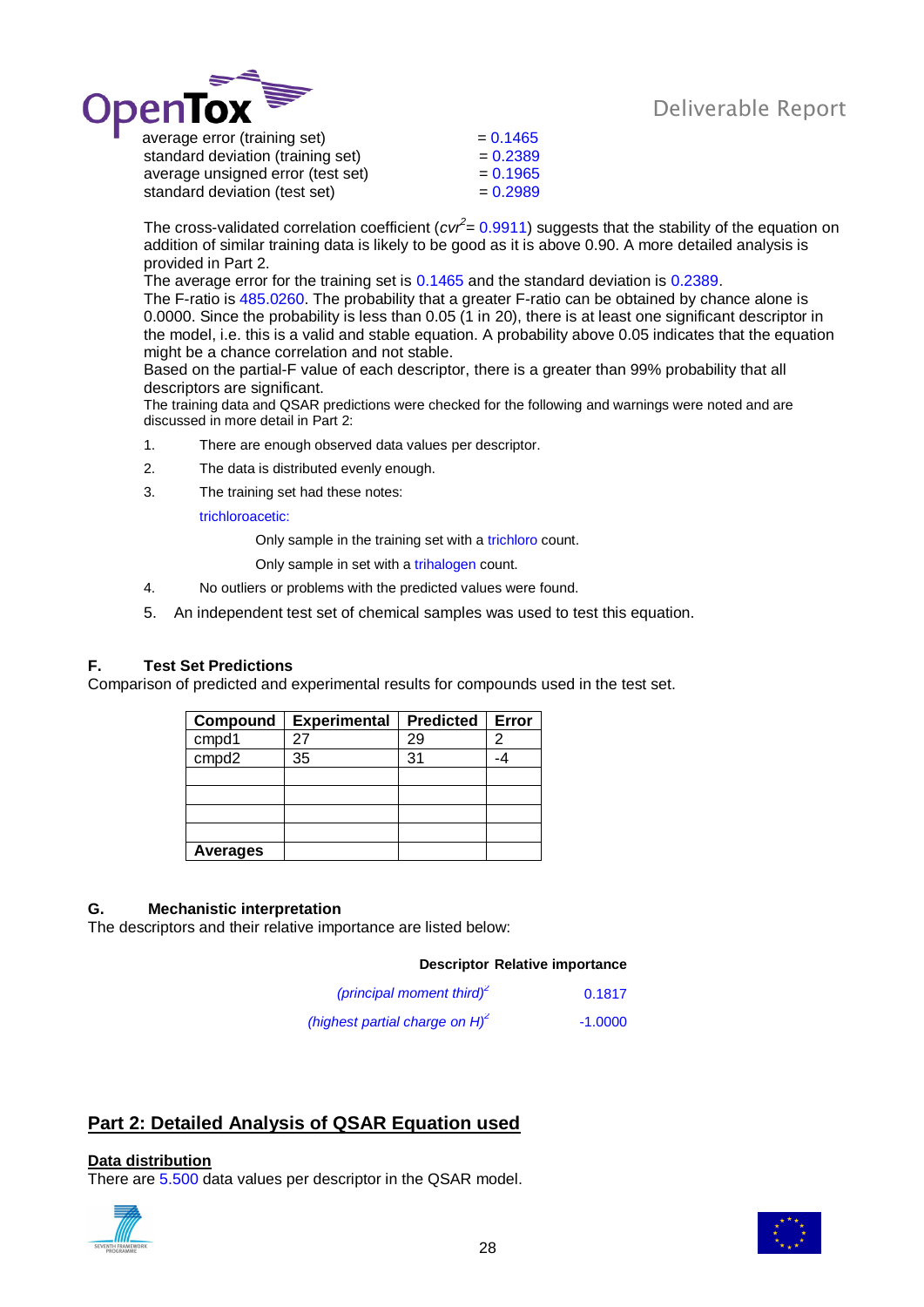

standard deviation (training set)  $= 0.2389$ average unsigned error (test set)  $= 0.1965$ standard deviation (test set)  $= 0.2989$ 

The cross-validated correlation coefficient (*cvr*<sup>2</sup> = 0.9911) suggests that the stability of the equation on addition of similar training data is likely to be good as it is above 0.90. A more detailed analysis is provided in Part 2.

The average error for the training set is 0.1465 and the standard deviation is 0.2389.

The F-ratio is 485.0260. The probability that a greater F-ratio can be obtained by chance alone is 0.0000. Since the probability is less than 0.05 (1 in 20), there is at least one significant descriptor in the model, i.e. this is a valid and stable equation. A probability above 0.05 indicates that the equation might be a chance correlation and not stable.

Based on the partial-F value of each descriptor, there is a greater than 99% probability that all descriptors are significant.

The training data and QSAR predictions were checked for the following and warnings were noted and are discussed in more detail in Part 2:

- 1. There are enough observed data values per descriptor.
- 2. The data is distributed evenly enough.
- 3. The training set had these notes:

trichloroacetic:

Only sample in the training set with a trichloro count.

Only sample in set with a trihalogen count.

- 4. No outliers or problems with the predicted values were found.
- 5. An independent test set of chemical samples was used to test this equation.

### **F. Test Set Predictions**

Comparison of predicted and experimental results for compounds used in the test set.

| Compound          | <b>Experimental</b> | <b>Predicted</b> | Error |
|-------------------|---------------------|------------------|-------|
| cmpd1             | 27                  | 29               |       |
| cmpd <sub>2</sub> | 35                  | 31               |       |
|                   |                     |                  |       |
|                   |                     |                  |       |
|                   |                     |                  |       |
|                   |                     |                  |       |
| <b>Averages</b>   |                     |                  |       |

### **G. Mechanistic interpretation**

The descriptors and their relative importance are listed below:

### **Descriptor Relative importance**

| (principal moment third) <sup>2</sup>         | 0.1817    |
|-----------------------------------------------|-----------|
| (highest partial charge on $H$ ) <sup>2</sup> | $-1.0000$ |

### **Part 2: Detailed Analysis of QSAR Equation used**

### **Data distribution**

There are 5.500 data values per descriptor in the QSAR model.



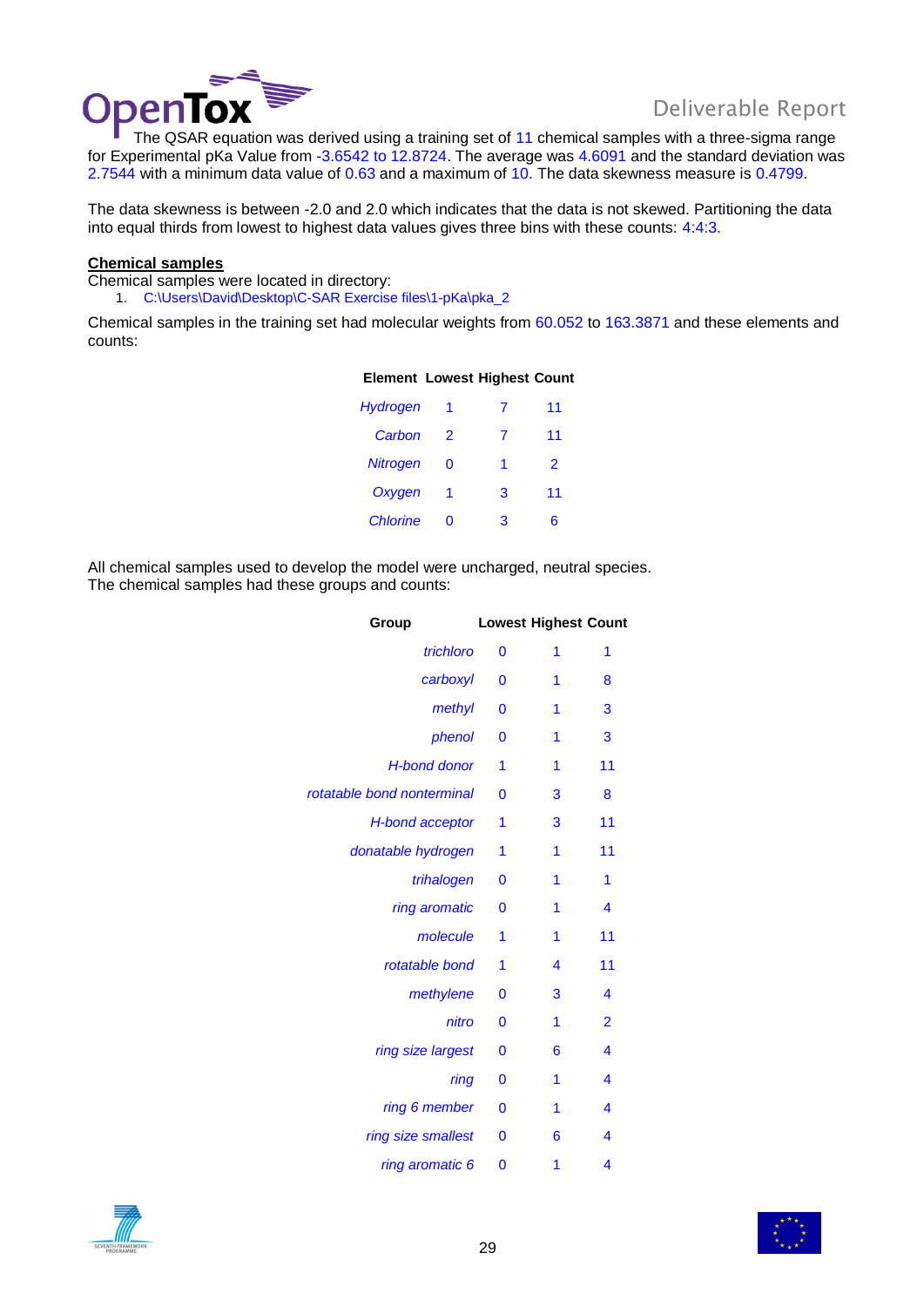

Deliverable Repor<br>The QSAR equation was derived using a training set of 11 chemical samples with a three-sigma range for Experimental pKa Value from -3.6542 to 12.8724. The average was 4.6091 and the standard deviation was 2.7544 with a minimum data value of 0.63 and a maximum of 10. The data skewness measure is 0.4799.

The data skewness is between -2.0 and 2.0 which indicates that the data is not skewed. Partitioning the data into equal thirds from lowest to highest data values gives three bins with these counts: 4:4:3.

### **Chemical samples**

Chemical samples were located in directory: 1. C:\Users\David\Desktop\C-SAR Exercise files\1-pKa\pka\_2

Chemical samples in the training set had molecular weights from 60.052 to 163.3871 and these elements and counts:

**Element Lowest Highest Count** 

| Hydrogen        | 1 | 7 | 11 |
|-----------------|---|---|----|
| Carbon          | 2 | 7 | 11 |
| <b>Nitrogen</b> | 0 | 1 | 2  |
| Oxygen          | 1 | 3 | 11 |
| <b>Chlorine</b> | ∩ | 3 | 6  |

All chemical samples used to develop the model were uncharged, neutral species. The chemical samples had these groups and counts:

| Group                      |              | <b>Lowest Highest Count</b> |                         |
|----------------------------|--------------|-----------------------------|-------------------------|
| trichloro                  | 0            | 1                           | 1                       |
| carboxyl                   | 0            | 1                           | 8                       |
| methyl                     | $\mathbf 0$  | 1                           | 3                       |
| phenol                     | $\bf{0}$     | 1                           | 3                       |
| <b>H-bond donor</b>        | 1            | 1                           | 11                      |
| rotatable bond nonterminal | $\mathbf 0$  | 3                           | 8                       |
| <b>H-bond acceptor</b>     | 1            | 3                           | 11                      |
| donatable hydrogen         | 1            | 1                           | 11                      |
| trihalogen                 | 0            | 1                           | 1                       |
| ring aromatic              | $\mathbf{0}$ | 1                           | 4                       |
| molecule                   | 1            | 1                           | 11                      |
| rotatable bond             | 1            | 4                           | 11                      |
| methylene                  | 0            | 3                           | 4                       |
| nitro                      | $\mathbf 0$  | 1                           | $\overline{2}$          |
| ring size largest          | $\mathbf 0$  | 6                           | 4                       |
| ring                       | 0            | 1                           | 4                       |
| ring 6 member              | 0            | 1                           | 4                       |
| ring size smallest         | $\mathbf{0}$ | 6                           | $\overline{\mathbf{4}}$ |
| ring aromatic 6            | 0            | 1                           | 4                       |